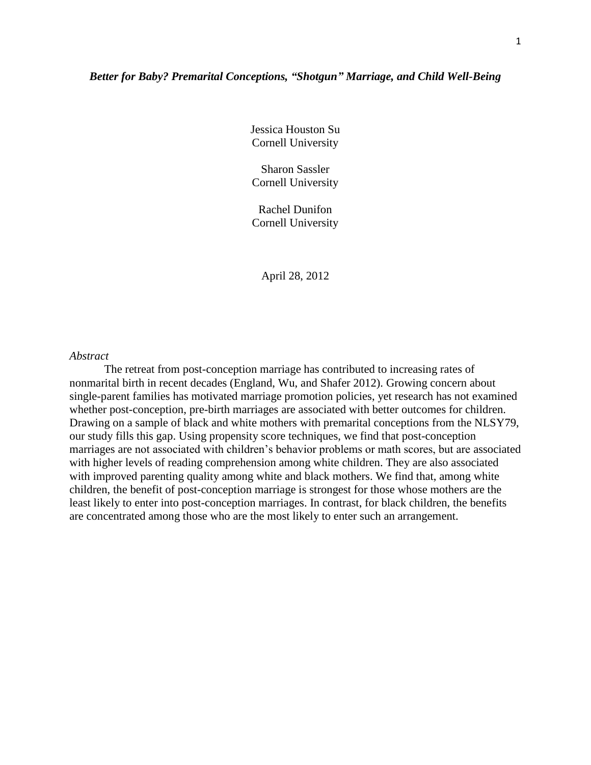### *Better for Baby? Premarital Conceptions, "Shotgun" Marriage, and Child Well-Being*

Jessica Houston Su Cornell University

Sharon Sassler Cornell University

Rachel Dunifon Cornell University

April 28, 2012

### *Abstract*

The retreat from post-conception marriage has contributed to increasing rates of nonmarital birth in recent decades (England, Wu, and Shafer 2012). Growing concern about single-parent families has motivated marriage promotion policies, yet research has not examined whether post-conception, pre-birth marriages are associated with better outcomes for children. Drawing on a sample of black and white mothers with premarital conceptions from the NLSY79, our study fills this gap. Using propensity score techniques, we find that post-conception marriages are not associated with children's behavior problems or math scores, but are associated with higher levels of reading comprehension among white children. They are also associated with improved parenting quality among white and black mothers. We find that, among white children, the benefit of post-conception marriage is strongest for those whose mothers are the least likely to enter into post-conception marriages. In contrast, for black children, the benefits are concentrated among those who are the most likely to enter such an arrangement.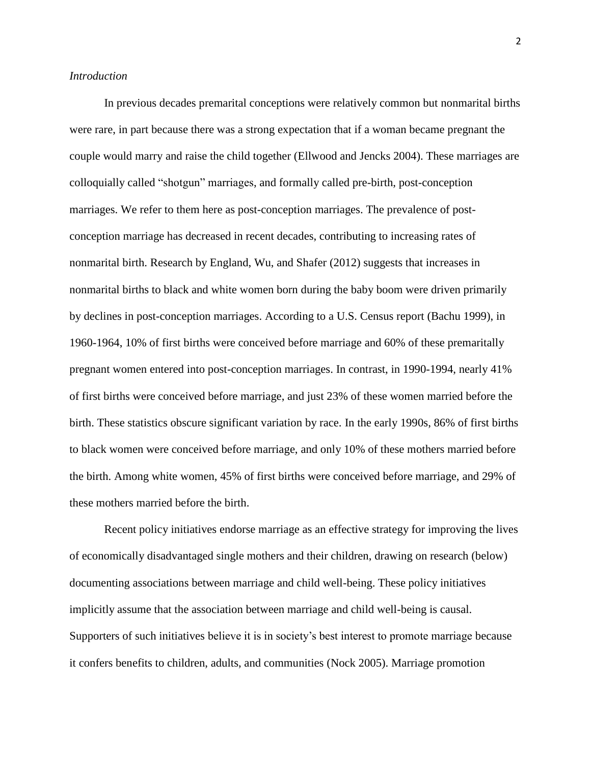#### *Introduction*

In previous decades premarital conceptions were relatively common but nonmarital births were rare, in part because there was a strong expectation that if a woman became pregnant the couple would marry and raise the child together (Ellwood and Jencks 2004). These marriages are colloquially called "shotgun" marriages, and formally called pre-birth, post-conception marriages. We refer to them here as post-conception marriages. The prevalence of postconception marriage has decreased in recent decades, contributing to increasing rates of nonmarital birth. Research by England, Wu, and Shafer (2012) suggests that increases in nonmarital births to black and white women born during the baby boom were driven primarily by declines in post-conception marriages. According to a U.S. Census report (Bachu 1999), in 1960-1964, 10% of first births were conceived before marriage and 60% of these premaritally pregnant women entered into post-conception marriages. In contrast, in 1990-1994, nearly 41% of first births were conceived before marriage, and just 23% of these women married before the birth. These statistics obscure significant variation by race. In the early 1990s, 86% of first births to black women were conceived before marriage, and only 10% of these mothers married before the birth. Among white women, 45% of first births were conceived before marriage, and 29% of these mothers married before the birth.

Recent policy initiatives endorse marriage as an effective strategy for improving the lives of economically disadvantaged single mothers and their children, drawing on research (below) documenting associations between marriage and child well-being. These policy initiatives implicitly assume that the association between marriage and child well-being is causal. Supporters of such initiatives believe it is in society's best interest to promote marriage because it confers benefits to children, adults, and communities (Nock 2005). Marriage promotion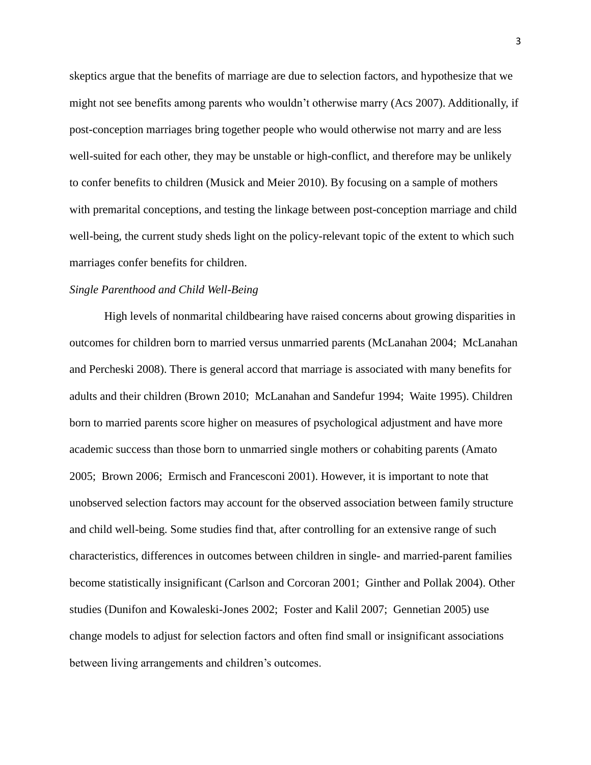skeptics argue that the benefits of marriage are due to selection factors, and hypothesize that we might not see benefits among parents who wouldn't otherwise marry (Acs 2007). Additionally, if post-conception marriages bring together people who would otherwise not marry and are less well-suited for each other, they may be unstable or high-conflict, and therefore may be unlikely to confer benefits to children (Musick and Meier 2010). By focusing on a sample of mothers with premarital conceptions, and testing the linkage between post-conception marriage and child well-being, the current study sheds light on the policy-relevant topic of the extent to which such marriages confer benefits for children.

### *Single Parenthood and Child Well-Being*

High levels of nonmarital childbearing have raised concerns about growing disparities in outcomes for children born to married versus unmarried parents (McLanahan 2004; McLanahan and Percheski 2008). There is general accord that marriage is associated with many benefits for adults and their children (Brown 2010; McLanahan and Sandefur 1994; Waite 1995). Children born to married parents score higher on measures of psychological adjustment and have more academic success than those born to unmarried single mothers or cohabiting parents (Amato 2005; Brown 2006; Ermisch and Francesconi 2001). However, it is important to note that unobserved selection factors may account for the observed association between family structure and child well-being. Some studies find that, after controlling for an extensive range of such characteristics, differences in outcomes between children in single- and married-parent families become statistically insignificant (Carlson and Corcoran 2001; Ginther and Pollak 2004). Other studies (Dunifon and Kowaleski-Jones 2002; Foster and Kalil 2007; Gennetian 2005) use change models to adjust for selection factors and often find small or insignificant associations between living arrangements and children's outcomes.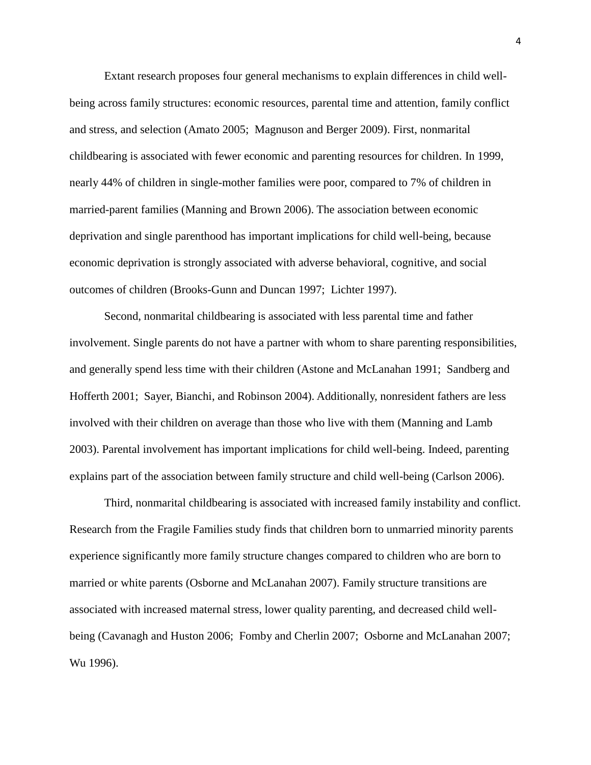Extant research proposes four general mechanisms to explain differences in child wellbeing across family structures: economic resources, parental time and attention, family conflict and stress, and selection (Amato 2005; Magnuson and Berger 2009). First, nonmarital childbearing is associated with fewer economic and parenting resources for children. In 1999, nearly 44% of children in single-mother families were poor, compared to 7% of children in married-parent families (Manning and Brown 2006). The association between economic deprivation and single parenthood has important implications for child well-being, because economic deprivation is strongly associated with adverse behavioral, cognitive, and social outcomes of children (Brooks-Gunn and Duncan 1997; Lichter 1997).

Second, nonmarital childbearing is associated with less parental time and father involvement. Single parents do not have a partner with whom to share parenting responsibilities, and generally spend less time with their children (Astone and McLanahan 1991; Sandberg and Hofferth 2001; Sayer, Bianchi, and Robinson 2004). Additionally, nonresident fathers are less involved with their children on average than those who live with them (Manning and Lamb 2003). Parental involvement has important implications for child well-being. Indeed, parenting explains part of the association between family structure and child well-being (Carlson 2006).

Third, nonmarital childbearing is associated with increased family instability and conflict. Research from the Fragile Families study finds that children born to unmarried minority parents experience significantly more family structure changes compared to children who are born to married or white parents (Osborne and McLanahan 2007). Family structure transitions are associated with increased maternal stress, lower quality parenting, and decreased child wellbeing (Cavanagh and Huston 2006; Fomby and Cherlin 2007; Osborne and McLanahan 2007; Wu 1996).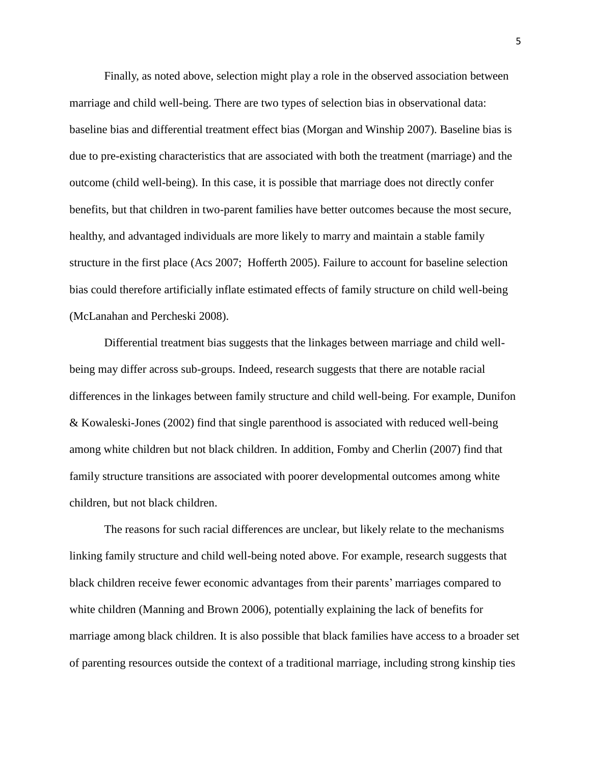Finally, as noted above, selection might play a role in the observed association between marriage and child well-being. There are two types of selection bias in observational data: baseline bias and differential treatment effect bias (Morgan and Winship 2007). Baseline bias is due to pre-existing characteristics that are associated with both the treatment (marriage) and the outcome (child well-being). In this case, it is possible that marriage does not directly confer benefits, but that children in two-parent families have better outcomes because the most secure, healthy, and advantaged individuals are more likely to marry and maintain a stable family structure in the first place (Acs 2007; Hofferth 2005). Failure to account for baseline selection bias could therefore artificially inflate estimated effects of family structure on child well-being (McLanahan and Percheski 2008).

Differential treatment bias suggests that the linkages between marriage and child wellbeing may differ across sub-groups. Indeed, research suggests that there are notable racial differences in the linkages between family structure and child well-being. For example, Dunifon & Kowaleski-Jones (2002) find that single parenthood is associated with reduced well-being among white children but not black children. In addition, Fomby and Cherlin (2007) find that family structure transitions are associated with poorer developmental outcomes among white children, but not black children.

The reasons for such racial differences are unclear, but likely relate to the mechanisms linking family structure and child well-being noted above. For example, research suggests that black children receive fewer economic advantages from their parents' marriages compared to white children (Manning and Brown 2006), potentially explaining the lack of benefits for marriage among black children. It is also possible that black families have access to a broader set of parenting resources outside the context of a traditional marriage, including strong kinship ties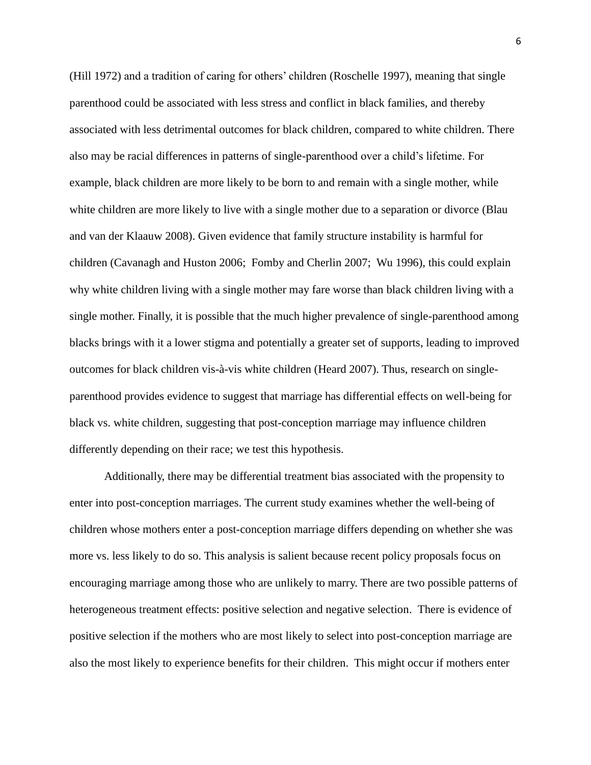(Hill 1972) and a tradition of caring for others' children (Roschelle 1997), meaning that single parenthood could be associated with less stress and conflict in black families, and thereby associated with less detrimental outcomes for black children, compared to white children. There also may be racial differences in patterns of single-parenthood over a child's lifetime. For example, black children are more likely to be born to and remain with a single mother, while white children are more likely to live with a single mother due to a separation or divorce (Blau and van der Klaauw 2008). Given evidence that family structure instability is harmful for children (Cavanagh and Huston 2006; Fomby and Cherlin 2007; Wu 1996), this could explain why white children living with a single mother may fare worse than black children living with a single mother. Finally, it is possible that the much higher prevalence of single-parenthood among blacks brings with it a lower stigma and potentially a greater set of supports, leading to improved outcomes for black children vis-à-vis white children (Heard 2007). Thus, research on singleparenthood provides evidence to suggest that marriage has differential effects on well-being for black vs. white children, suggesting that post-conception marriage may influence children differently depending on their race; we test this hypothesis.

Additionally, there may be differential treatment bias associated with the propensity to enter into post-conception marriages. The current study examines whether the well-being of children whose mothers enter a post-conception marriage differs depending on whether she was more vs. less likely to do so. This analysis is salient because recent policy proposals focus on encouraging marriage among those who are unlikely to marry. There are two possible patterns of heterogeneous treatment effects: positive selection and negative selection. There is evidence of positive selection if the mothers who are most likely to select into post-conception marriage are also the most likely to experience benefits for their children. This might occur if mothers enter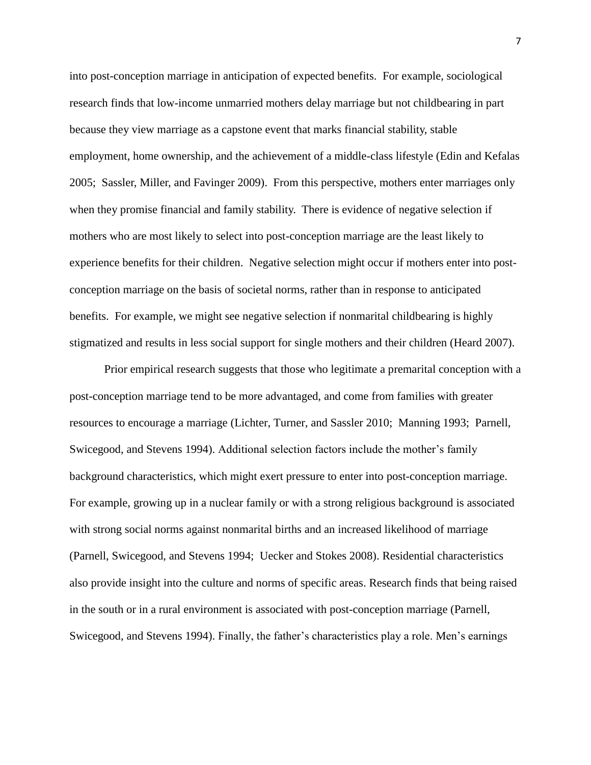into post-conception marriage in anticipation of expected benefits. For example, sociological research finds that low-income unmarried mothers delay marriage but not childbearing in part because they view marriage as a capstone event that marks financial stability, stable employment, home ownership, and the achievement of a middle-class lifestyle (Edin and Kefalas 2005; Sassler, Miller, and Favinger 2009). From this perspective, mothers enter marriages only when they promise financial and family stability. There is evidence of negative selection if mothers who are most likely to select into post-conception marriage are the least likely to experience benefits for their children. Negative selection might occur if mothers enter into postconception marriage on the basis of societal norms, rather than in response to anticipated benefits. For example, we might see negative selection if nonmarital childbearing is highly stigmatized and results in less social support for single mothers and their children (Heard 2007).

Prior empirical research suggests that those who legitimate a premarital conception with a post-conception marriage tend to be more advantaged, and come from families with greater resources to encourage a marriage (Lichter, Turner, and Sassler 2010; Manning 1993; Parnell, Swicegood, and Stevens 1994). Additional selection factors include the mother's family background characteristics, which might exert pressure to enter into post-conception marriage. For example, growing up in a nuclear family or with a strong religious background is associated with strong social norms against nonmarital births and an increased likelihood of marriage (Parnell, Swicegood, and Stevens 1994; Uecker and Stokes 2008). Residential characteristics also provide insight into the culture and norms of specific areas. Research finds that being raised in the south or in a rural environment is associated with post-conception marriage (Parnell, Swicegood, and Stevens 1994). Finally, the father's characteristics play a role. Men's earnings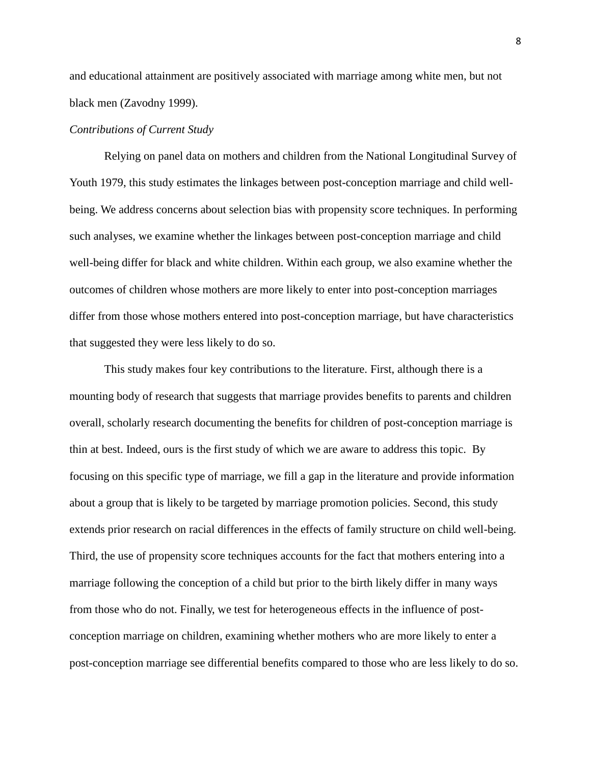and educational attainment are positively associated with marriage among white men, but not black men (Zavodny 1999).

### *Contributions of Current Study*

Relying on panel data on mothers and children from the National Longitudinal Survey of Youth 1979, this study estimates the linkages between post-conception marriage and child wellbeing. We address concerns about selection bias with propensity score techniques. In performing such analyses, we examine whether the linkages between post-conception marriage and child well-being differ for black and white children. Within each group, we also examine whether the outcomes of children whose mothers are more likely to enter into post-conception marriages differ from those whose mothers entered into post-conception marriage, but have characteristics that suggested they were less likely to do so.

This study makes four key contributions to the literature. First, although there is a mounting body of research that suggests that marriage provides benefits to parents and children overall, scholarly research documenting the benefits for children of post-conception marriage is thin at best. Indeed, ours is the first study of which we are aware to address this topic. By focusing on this specific type of marriage, we fill a gap in the literature and provide information about a group that is likely to be targeted by marriage promotion policies. Second, this study extends prior research on racial differences in the effects of family structure on child well-being. Third, the use of propensity score techniques accounts for the fact that mothers entering into a marriage following the conception of a child but prior to the birth likely differ in many ways from those who do not. Finally, we test for heterogeneous effects in the influence of postconception marriage on children, examining whether mothers who are more likely to enter a post-conception marriage see differential benefits compared to those who are less likely to do so.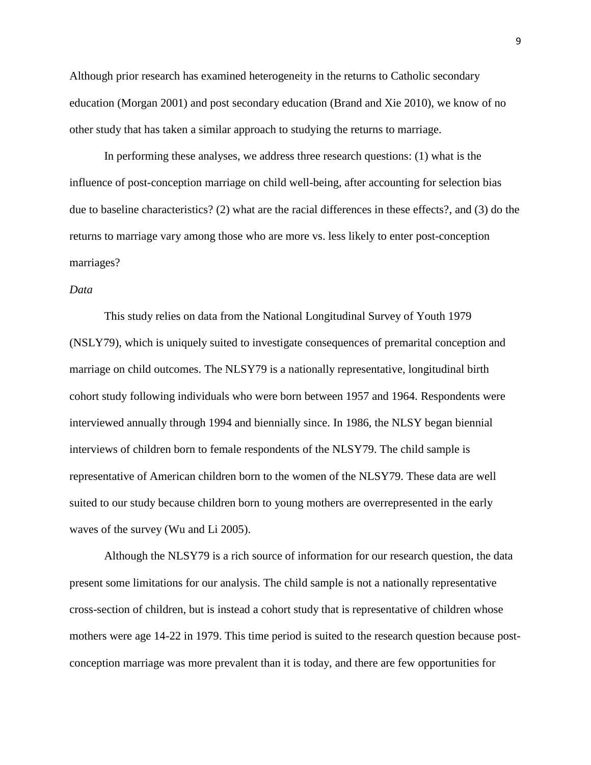Although prior research has examined heterogeneity in the returns to Catholic secondary education (Morgan 2001) and post secondary education (Brand and Xie 2010), we know of no other study that has taken a similar approach to studying the returns to marriage.

In performing these analyses, we address three research questions: (1) what is the influence of post-conception marriage on child well-being, after accounting for selection bias due to baseline characteristics? (2) what are the racial differences in these effects?, and (3) do the returns to marriage vary among those who are more vs. less likely to enter post-conception marriages?

### *Data*

This study relies on data from the National Longitudinal Survey of Youth 1979 (NSLY79), which is uniquely suited to investigate consequences of premarital conception and marriage on child outcomes. The NLSY79 is a nationally representative, longitudinal birth cohort study following individuals who were born between 1957 and 1964. Respondents were interviewed annually through 1994 and biennially since. In 1986, the NLSY began biennial interviews of children born to female respondents of the NLSY79. The child sample is representative of American children born to the women of the NLSY79. These data are well suited to our study because children born to young mothers are overrepresented in the early waves of the survey (Wu and Li 2005).

Although the NLSY79 is a rich source of information for our research question, the data present some limitations for our analysis. The child sample is not a nationally representative cross-section of children, but is instead a cohort study that is representative of children whose mothers were age 14-22 in 1979. This time period is suited to the research question because postconception marriage was more prevalent than it is today, and there are few opportunities for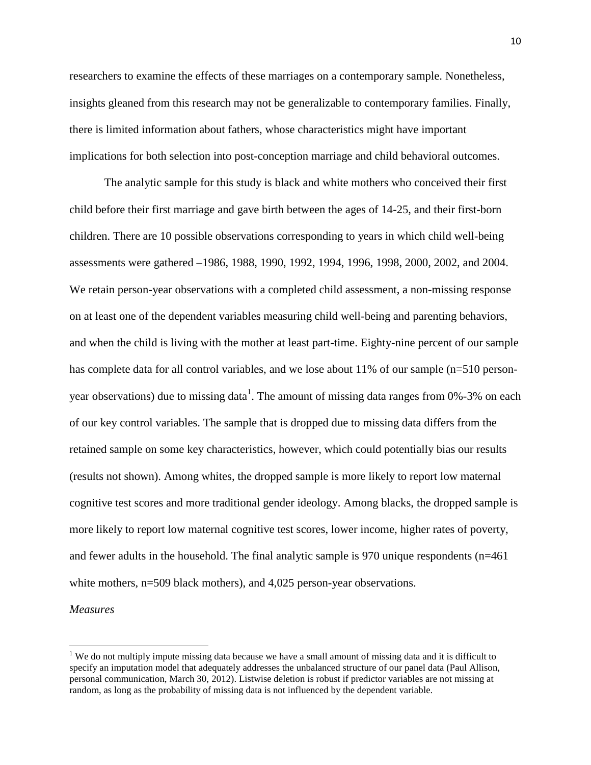researchers to examine the effects of these marriages on a contemporary sample. Nonetheless, insights gleaned from this research may not be generalizable to contemporary families. Finally, there is limited information about fathers, whose characteristics might have important implications for both selection into post-conception marriage and child behavioral outcomes.

The analytic sample for this study is black and white mothers who conceived their first child before their first marriage and gave birth between the ages of 14-25, and their first-born children. There are 10 possible observations corresponding to years in which child well-being assessments were gathered –1986, 1988, 1990, 1992, 1994, 1996, 1998, 2000, 2002, and 2004. We retain person-year observations with a completed child assessment, a non-missing response on at least one of the dependent variables measuring child well-being and parenting behaviors, and when the child is living with the mother at least part-time. Eighty-nine percent of our sample has complete data for all control variables, and we lose about 11% of our sample (n=510 personyear observations) due to missing data<sup>1</sup>. The amount of missing data ranges from 0%-3% on each of our key control variables. The sample that is dropped due to missing data differs from the retained sample on some key characteristics, however, which could potentially bias our results (results not shown). Among whites, the dropped sample is more likely to report low maternal cognitive test scores and more traditional gender ideology. Among blacks, the dropped sample is more likely to report low maternal cognitive test scores, lower income, higher rates of poverty, and fewer adults in the household. The final analytic sample is 970 unique respondents (n=461 white mothers, n=509 black mothers), and 4,025 person-year observations.

*Measures*

 $\overline{\phantom{a}}$ 

<sup>&</sup>lt;sup>1</sup> We do not multiply impute missing data because we have a small amount of missing data and it is difficult to specify an imputation model that adequately addresses the unbalanced structure of our panel data (Paul Allison, personal communication, March 30, 2012). Listwise deletion is robust if predictor variables are not missing at random, as long as the probability of missing data is not influenced by the dependent variable.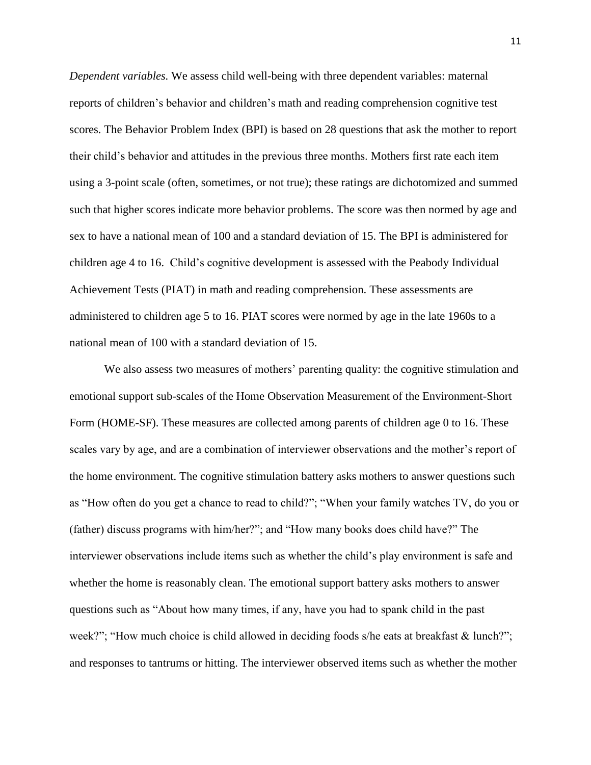*Dependent variables.* We assess child well-being with three dependent variables: maternal reports of children's behavior and children's math and reading comprehension cognitive test scores. The Behavior Problem Index (BPI) is based on 28 questions that ask the mother to report their child's behavior and attitudes in the previous three months. Mothers first rate each item using a 3-point scale (often, sometimes, or not true); these ratings are dichotomized and summed such that higher scores indicate more behavior problems. The score was then normed by age and sex to have a national mean of 100 and a standard deviation of 15. The BPI is administered for children age 4 to 16. Child's cognitive development is assessed with the Peabody Individual Achievement Tests (PIAT) in math and reading comprehension. These assessments are administered to children age 5 to 16. PIAT scores were normed by age in the late 1960s to a national mean of 100 with a standard deviation of 15.

We also assess two measures of mothers' parenting quality: the cognitive stimulation and emotional support sub-scales of the Home Observation Measurement of the Environment-Short Form (HOME-SF). These measures are collected among parents of children age 0 to 16. These scales vary by age, and are a combination of interviewer observations and the mother's report of the home environment. The cognitive stimulation battery asks mothers to answer questions such as "How often do you get a chance to read to child?"; "When your family watches TV, do you or (father) discuss programs with him/her?"; and "How many books does child have?" The interviewer observations include items such as whether the child's play environment is safe and whether the home is reasonably clean. The emotional support battery asks mothers to answer questions such as "About how many times, if any, have you had to spank child in the past week?"; "How much choice is child allowed in deciding foods s/he eats at breakfast & lunch?"; and responses to tantrums or hitting. The interviewer observed items such as whether the mother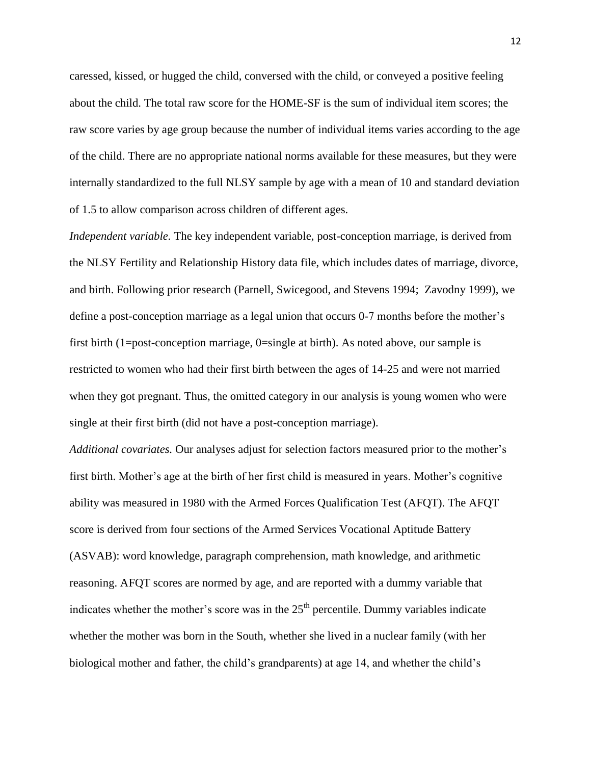caressed, kissed, or hugged the child, conversed with the child, or conveyed a positive feeling about the child. The total raw score for the HOME-SF is the sum of individual item scores; the raw score varies by age group because the number of individual items varies according to the age of the child. There are no appropriate national norms available for these measures, but they were internally standardized to the full NLSY sample by age with a mean of 10 and standard deviation of 1.5 to allow comparison across children of different ages.

*Independent variable.* The key independent variable, post-conception marriage, is derived from the NLSY Fertility and Relationship History data file, which includes dates of marriage, divorce, and birth. Following prior research (Parnell, Swicegood, and Stevens 1994; Zavodny 1999), we define a post-conception marriage as a legal union that occurs 0-7 months before the mother's first birth (1=post-conception marriage, 0=single at birth). As noted above, our sample is restricted to women who had their first birth between the ages of 14-25 and were not married when they got pregnant. Thus, the omitted category in our analysis is young women who were single at their first birth (did not have a post-conception marriage).

*Additional covariates.* Our analyses adjust for selection factors measured prior to the mother's first birth. Mother's age at the birth of her first child is measured in years. Mother's cognitive ability was measured in 1980 with the Armed Forces Qualification Test (AFQT). The AFQT score is derived from four sections of the Armed Services Vocational Aptitude Battery (ASVAB): word knowledge, paragraph comprehension, math knowledge, and arithmetic reasoning. AFQT scores are normed by age, and are reported with a dummy variable that indicates whether the mother's score was in the  $25<sup>th</sup>$  percentile. Dummy variables indicate whether the mother was born in the South, whether she lived in a nuclear family (with her biological mother and father, the child's grandparents) at age 14, and whether the child's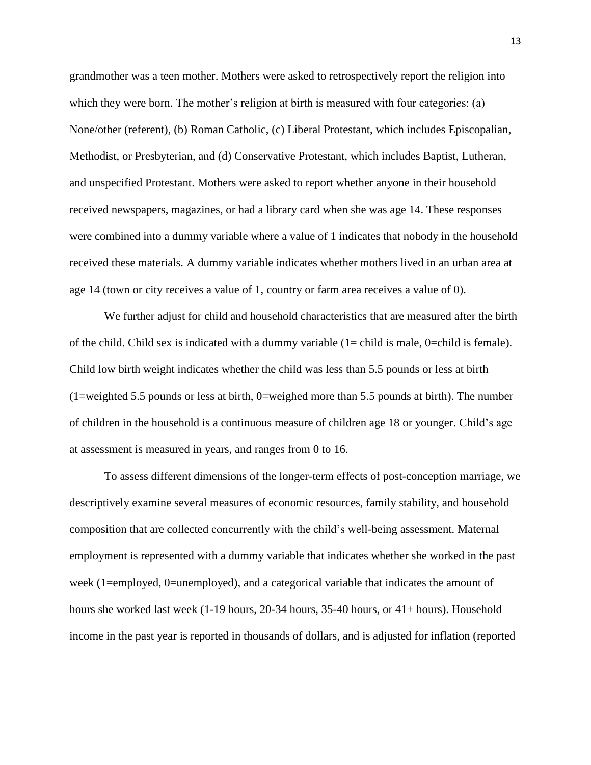grandmother was a teen mother. Mothers were asked to retrospectively report the religion into which they were born. The mother's religion at birth is measured with four categories: (a) None/other (referent), (b) Roman Catholic, (c) Liberal Protestant, which includes Episcopalian, Methodist, or Presbyterian, and (d) Conservative Protestant, which includes Baptist, Lutheran, and unspecified Protestant. Mothers were asked to report whether anyone in their household received newspapers, magazines, or had a library card when she was age 14. These responses were combined into a dummy variable where a value of 1 indicates that nobody in the household received these materials. A dummy variable indicates whether mothers lived in an urban area at age 14 (town or city receives a value of 1, country or farm area receives a value of 0).

We further adjust for child and household characteristics that are measured after the birth of the child. Child sex is indicated with a dummy variable  $(1 = child$  is male, 0=child is female). Child low birth weight indicates whether the child was less than 5.5 pounds or less at birth (1=weighted 5.5 pounds or less at birth, 0=weighed more than 5.5 pounds at birth). The number of children in the household is a continuous measure of children age 18 or younger. Child's age at assessment is measured in years, and ranges from 0 to 16.

To assess different dimensions of the longer-term effects of post-conception marriage, we descriptively examine several measures of economic resources, family stability, and household composition that are collected concurrently with the child's well-being assessment. Maternal employment is represented with a dummy variable that indicates whether she worked in the past week (1=employed, 0=unemployed), and a categorical variable that indicates the amount of hours she worked last week (1-19 hours, 20-34 hours, 35-40 hours, or 41+ hours). Household income in the past year is reported in thousands of dollars, and is adjusted for inflation (reported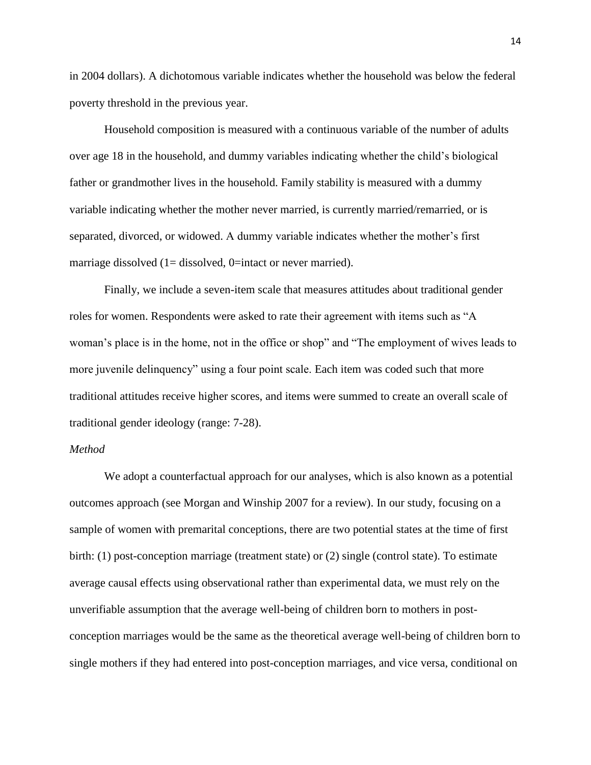in 2004 dollars). A dichotomous variable indicates whether the household was below the federal poverty threshold in the previous year.

Household composition is measured with a continuous variable of the number of adults over age 18 in the household, and dummy variables indicating whether the child's biological father or grandmother lives in the household. Family stability is measured with a dummy variable indicating whether the mother never married, is currently married/remarried, or is separated, divorced, or widowed. A dummy variable indicates whether the mother's first marriage dissolved  $(1=$  dissolved, 0=intact or never married).

Finally, we include a seven-item scale that measures attitudes about traditional gender roles for women. Respondents were asked to rate their agreement with items such as "A woman's place is in the home, not in the office or shop" and "The employment of wives leads to more juvenile delinquency" using a four point scale. Each item was coded such that more traditional attitudes receive higher scores, and items were summed to create an overall scale of traditional gender ideology (range: 7-28).

## *Method*

We adopt a counterfactual approach for our analyses, which is also known as a potential outcomes approach (see Morgan and Winship 2007 for a review). In our study, focusing on a sample of women with premarital conceptions, there are two potential states at the time of first birth: (1) post-conception marriage (treatment state) or (2) single (control state). To estimate average causal effects using observational rather than experimental data, we must rely on the unverifiable assumption that the average well-being of children born to mothers in postconception marriages would be the same as the theoretical average well-being of children born to single mothers if they had entered into post-conception marriages, and vice versa, conditional on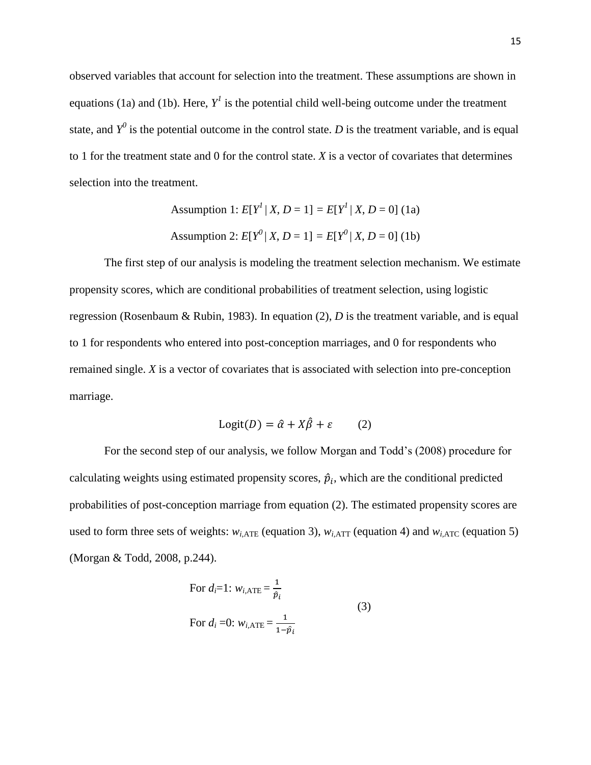observed variables that account for selection into the treatment. These assumptions are shown in equations (1a) and (1b). Here,  $Y^I$  is the potential child well-being outcome under the treatment state, and  $Y^0$  is the potential outcome in the control state. *D* is the treatment variable, and is equal to 1 for the treatment state and 0 for the control state. *X* is a vector of covariates that determines selection into the treatment.

Assumption 1: 
$$
E[Y^l | X, D = 1] = E[Y^l | X, D = 0]
$$
 (1a)  
Assumption 2:  $E[Y^0 | X, D = 1] = E[Y^0 | X, D = 0]$  (1b)

The first step of our analysis is modeling the treatment selection mechanism. We estimate propensity scores, which are conditional probabilities of treatment selection, using logistic regression (Rosenbaum & Rubin, 1983). In equation  $(2)$ , *D* is the treatment variable, and is equal to 1 for respondents who entered into post-conception marriages, and 0 for respondents who remained single. *X* is a vector of covariates that is associated with selection into pre-conception marriage.

$$
Logit(D) = \hat{\alpha} + X\hat{\beta} + \varepsilon \qquad (2)
$$

For the second step of our analysis, we follow Morgan and Todd's (2008) procedure for calculating weights using estimated propensity scores,  $\hat{p}_i$ , which are the conditional predicted probabilities of post-conception marriage from equation (2). The estimated propensity scores are used to form three sets of weights:  $w_{i,ATE}$  (equation 3),  $w_{i,ATT}$  (equation 4) and  $w_{i,ATC}$  (equation 5) (Morgan & Todd, 2008, p.244).

For 
$$
d_i=1
$$
:  $w_{i,ATE} = \frac{1}{\hat{p}_i}$   
For  $d_i = 0$ :  $w_{i,ATE} = \frac{1}{1 - \hat{p}_i}$  (3)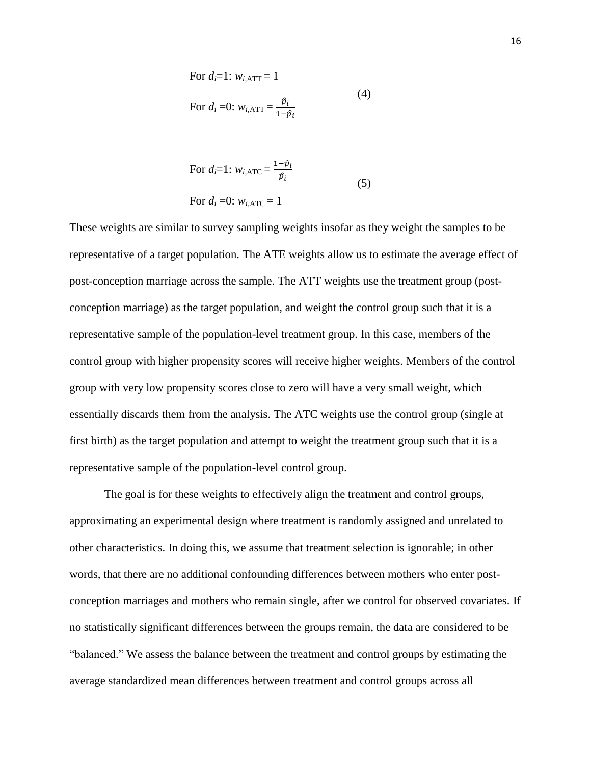For 
$$
d_i=1
$$
:  $w_{i, \text{ATT}} = 1$   
For  $d_i = 0$ :  $w_{i, \text{ATT}} = \frac{\hat{p}_i}{1 - \hat{p}_i}$  (4)

For 
$$
d_i=1
$$
:  $w_{i, \text{ATC}} = \frac{1-\hat{p}_i}{\hat{p}_i}$   
For  $d_i = 0$ :  $w_{i, \text{ATC}} = 1$  (5)

These weights are similar to survey sampling weights insofar as they weight the samples to be representative of a target population. The ATE weights allow us to estimate the average effect of post-conception marriage across the sample. The ATT weights use the treatment group (postconception marriage) as the target population, and weight the control group such that it is a representative sample of the population-level treatment group. In this case, members of the control group with higher propensity scores will receive higher weights. Members of the control group with very low propensity scores close to zero will have a very small weight, which essentially discards them from the analysis. The ATC weights use the control group (single at first birth) as the target population and attempt to weight the treatment group such that it is a representative sample of the population-level control group.

The goal is for these weights to effectively align the treatment and control groups, approximating an experimental design where treatment is randomly assigned and unrelated to other characteristics. In doing this, we assume that treatment selection is ignorable; in other words, that there are no additional confounding differences between mothers who enter postconception marriages and mothers who remain single, after we control for observed covariates. If no statistically significant differences between the groups remain, the data are considered to be "balanced." We assess the balance between the treatment and control groups by estimating the average standardized mean differences between treatment and control groups across all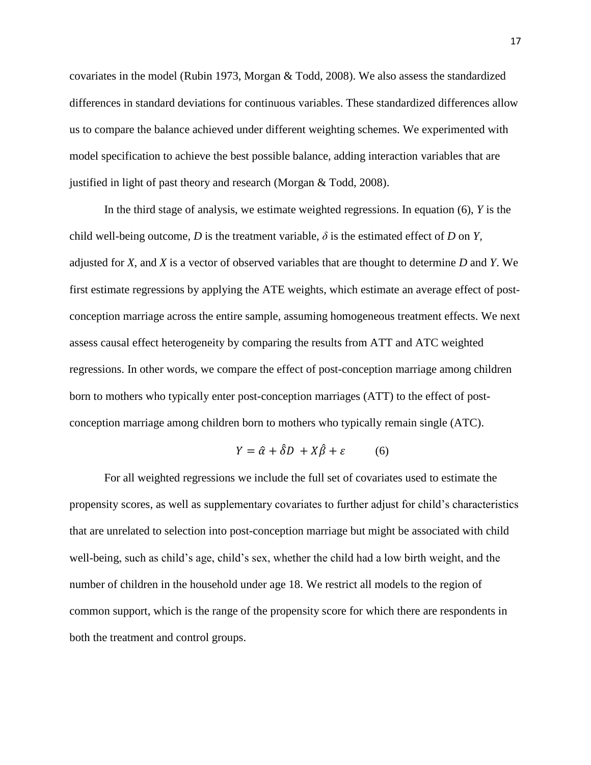covariates in the model (Rubin 1973, Morgan & Todd, 2008). We also assess the standardized differences in standard deviations for continuous variables. These standardized differences allow us to compare the balance achieved under different weighting schemes. We experimented with model specification to achieve the best possible balance, adding interaction variables that are justified in light of past theory and research (Morgan & Todd, 2008).

In the third stage of analysis, we estimate weighted regressions. In equation (6), *Y* is the child well-being outcome, *D* is the treatment variable,  $\delta$  is the estimated effect of *D* on *Y*, adjusted for *X*, and *X* is a vector of observed variables that are thought to determine *D* and *Y*. We first estimate regressions by applying the ATE weights, which estimate an average effect of postconception marriage across the entire sample, assuming homogeneous treatment effects. We next assess causal effect heterogeneity by comparing the results from ATT and ATC weighted regressions. In other words, we compare the effect of post-conception marriage among children born to mothers who typically enter post-conception marriages (ATT) to the effect of postconception marriage among children born to mothers who typically remain single (ATC).

$$
Y = \hat{\alpha} + \hat{\delta}D + X\hat{\beta} + \varepsilon \tag{6}
$$

For all weighted regressions we include the full set of covariates used to estimate the propensity scores, as well as supplementary covariates to further adjust for child's characteristics that are unrelated to selection into post-conception marriage but might be associated with child well-being, such as child's age, child's sex, whether the child had a low birth weight, and the number of children in the household under age 18. We restrict all models to the region of common support, which is the range of the propensity score for which there are respondents in both the treatment and control groups.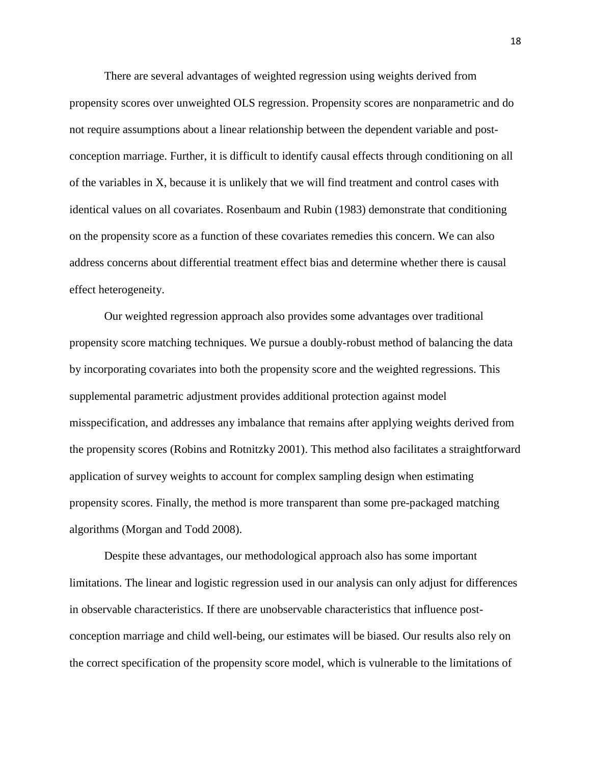There are several advantages of weighted regression using weights derived from propensity scores over unweighted OLS regression. Propensity scores are nonparametric and do not require assumptions about a linear relationship between the dependent variable and postconception marriage. Further, it is difficult to identify causal effects through conditioning on all of the variables in X, because it is unlikely that we will find treatment and control cases with identical values on all covariates. Rosenbaum and Rubin (1983) demonstrate that conditioning on the propensity score as a function of these covariates remedies this concern. We can also address concerns about differential treatment effect bias and determine whether there is causal effect heterogeneity.

Our weighted regression approach also provides some advantages over traditional propensity score matching techniques. We pursue a doubly-robust method of balancing the data by incorporating covariates into both the propensity score and the weighted regressions. This supplemental parametric adjustment provides additional protection against model misspecification, and addresses any imbalance that remains after applying weights derived from the propensity scores (Robins and Rotnitzky 2001). This method also facilitates a straightforward application of survey weights to account for complex sampling design when estimating propensity scores. Finally, the method is more transparent than some pre-packaged matching algorithms (Morgan and Todd 2008).

Despite these advantages, our methodological approach also has some important limitations. The linear and logistic regression used in our analysis can only adjust for differences in observable characteristics. If there are unobservable characteristics that influence postconception marriage and child well-being, our estimates will be biased. Our results also rely on the correct specification of the propensity score model, which is vulnerable to the limitations of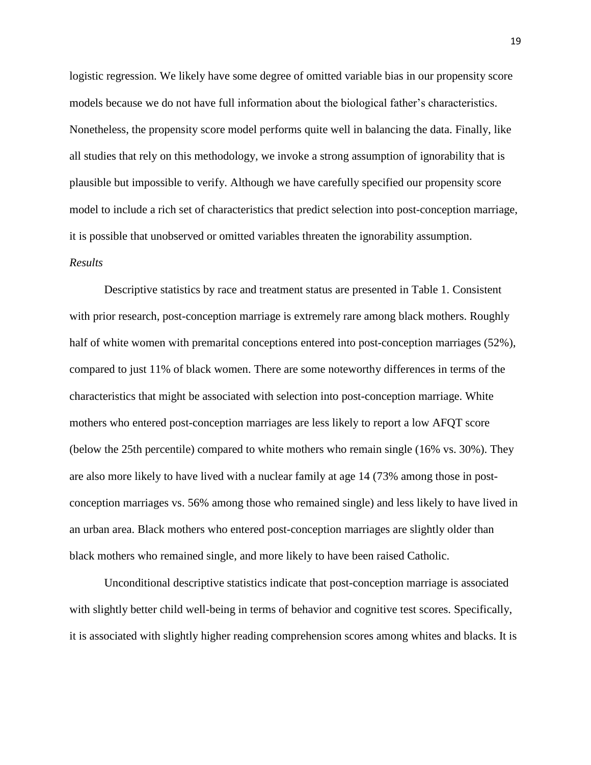logistic regression. We likely have some degree of omitted variable bias in our propensity score models because we do not have full information about the biological father's characteristics. Nonetheless, the propensity score model performs quite well in balancing the data. Finally, like all studies that rely on this methodology, we invoke a strong assumption of ignorability that is plausible but impossible to verify. Although we have carefully specified our propensity score model to include a rich set of characteristics that predict selection into post-conception marriage, it is possible that unobserved or omitted variables threaten the ignorability assumption.

# *Results*

Descriptive statistics by race and treatment status are presented in Table 1. Consistent with prior research, post-conception marriage is extremely rare among black mothers. Roughly half of white women with premarital conceptions entered into post-conception marriages (52%), compared to just 11% of black women. There are some noteworthy differences in terms of the characteristics that might be associated with selection into post-conception marriage. White mothers who entered post-conception marriages are less likely to report a low AFQT score (below the 25th percentile) compared to white mothers who remain single (16% vs. 30%). They are also more likely to have lived with a nuclear family at age 14 (73% among those in postconception marriages vs. 56% among those who remained single) and less likely to have lived in an urban area. Black mothers who entered post-conception marriages are slightly older than black mothers who remained single, and more likely to have been raised Catholic.

Unconditional descriptive statistics indicate that post-conception marriage is associated with slightly better child well-being in terms of behavior and cognitive test scores. Specifically, it is associated with slightly higher reading comprehension scores among whites and blacks. It is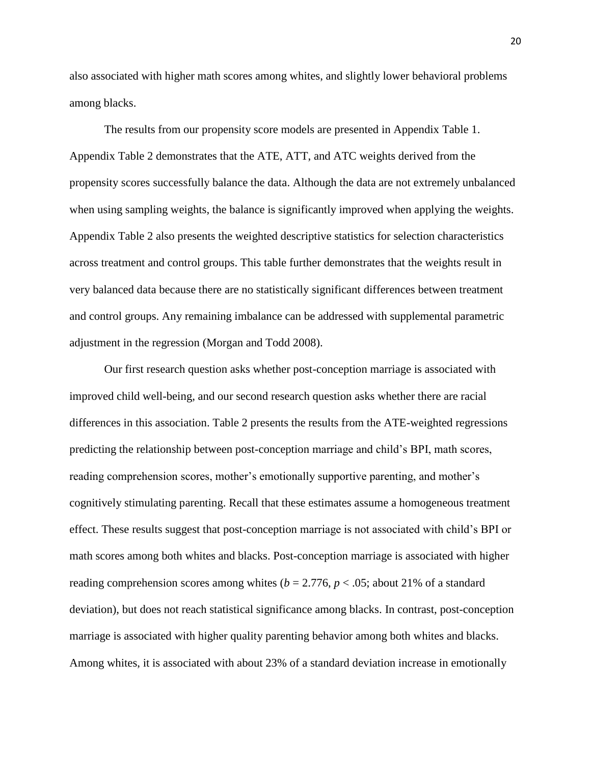also associated with higher math scores among whites, and slightly lower behavioral problems among blacks.

The results from our propensity score models are presented in Appendix Table 1. Appendix Table 2 demonstrates that the ATE, ATT, and ATC weights derived from the propensity scores successfully balance the data. Although the data are not extremely unbalanced when using sampling weights, the balance is significantly improved when applying the weights. Appendix Table 2 also presents the weighted descriptive statistics for selection characteristics across treatment and control groups. This table further demonstrates that the weights result in very balanced data because there are no statistically significant differences between treatment and control groups. Any remaining imbalance can be addressed with supplemental parametric adjustment in the regression (Morgan and Todd 2008).

Our first research question asks whether post-conception marriage is associated with improved child well-being, and our second research question asks whether there are racial differences in this association. Table 2 presents the results from the ATE-weighted regressions predicting the relationship between post-conception marriage and child's BPI, math scores, reading comprehension scores, mother's emotionally supportive parenting, and mother's cognitively stimulating parenting. Recall that these estimates assume a homogeneous treatment effect. These results suggest that post-conception marriage is not associated with child's BPI or math scores among both whites and blacks. Post-conception marriage is associated with higher reading comprehension scores among whites ( $b = 2.776$ ,  $p < .05$ ; about 21% of a standard deviation), but does not reach statistical significance among blacks. In contrast, post-conception marriage is associated with higher quality parenting behavior among both whites and blacks. Among whites, it is associated with about 23% of a standard deviation increase in emotionally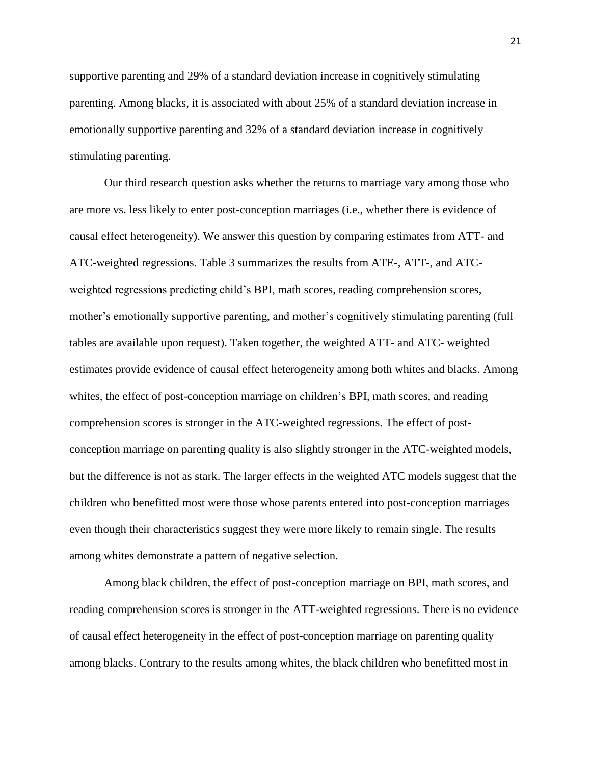supportive parenting and 29% of a standard deviation increase in cognitively stimulating parenting. Among blacks, it is associated with about 25% of a standard deviation increase in emotionally supportive parenting and 32% of a standard deviation increase in cognitively stimulating parenting.

Our third research question asks whether the returns to marriage vary among those who are more vs. less likely to enter post-conception marriages (i.e., whether there is evidence of causal effect heterogeneity). We answer this question by comparing estimates from ATT- and ATC-weighted regressions. Table 3 summarizes the results from ATE-, ATT-, and ATCweighted regressions predicting child's BPI, math scores, reading comprehension scores, mother's emotionally supportive parenting, and mother's cognitively stimulating parenting (full tables are available upon request). Taken together, the weighted ATT- and ATC- weighted estimates provide evidence of causal effect heterogeneity among both whites and blacks. Among whites, the effect of post-conception marriage on children's BPI, math scores, and reading comprehension scores is stronger in the ATC-weighted regressions. The effect of postconception marriage on parenting quality is also slightly stronger in the ATC-weighted models, but the difference is not as stark. The larger effects in the weighted ATC models suggest that the children who benefitted most were those whose parents entered into post-conception marriages even though their characteristics suggest they were more likely to remain single. The results among whites demonstrate a pattern of negative selection.

Among black children, the effect of post-conception marriage on BPI, math scores, and reading comprehension scores is stronger in the ATT-weighted regressions. There is no evidence of causal effect heterogeneity in the effect of post-conception marriage on parenting quality among blacks. Contrary to the results among whites, the black children who benefitted most in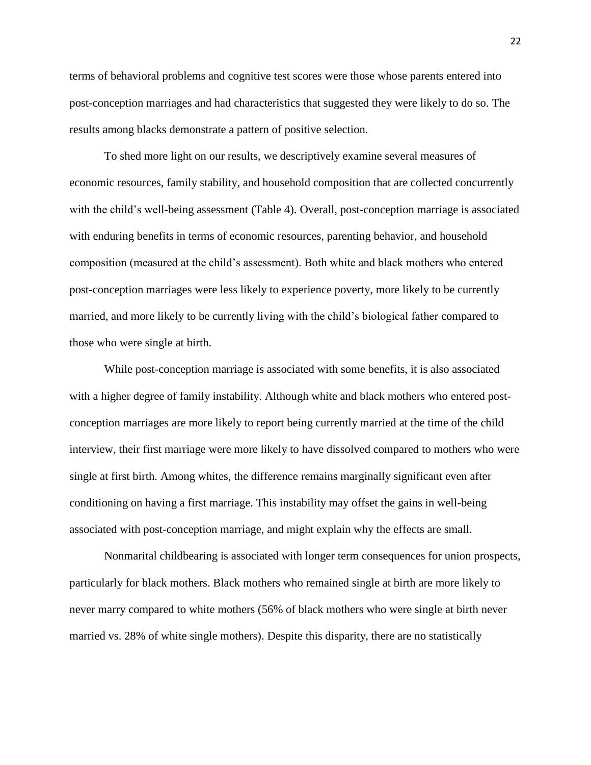terms of behavioral problems and cognitive test scores were those whose parents entered into post-conception marriages and had characteristics that suggested they were likely to do so. The results among blacks demonstrate a pattern of positive selection.

To shed more light on our results, we descriptively examine several measures of economic resources, family stability, and household composition that are collected concurrently with the child's well-being assessment (Table 4). Overall, post-conception marriage is associated with enduring benefits in terms of economic resources, parenting behavior, and household composition (measured at the child's assessment). Both white and black mothers who entered post-conception marriages were less likely to experience poverty, more likely to be currently married, and more likely to be currently living with the child's biological father compared to those who were single at birth.

While post-conception marriage is associated with some benefits, it is also associated with a higher degree of family instability. Although white and black mothers who entered postconception marriages are more likely to report being currently married at the time of the child interview, their first marriage were more likely to have dissolved compared to mothers who were single at first birth. Among whites, the difference remains marginally significant even after conditioning on having a first marriage. This instability may offset the gains in well-being associated with post-conception marriage, and might explain why the effects are small.

Nonmarital childbearing is associated with longer term consequences for union prospects, particularly for black mothers. Black mothers who remained single at birth are more likely to never marry compared to white mothers (56% of black mothers who were single at birth never married vs. 28% of white single mothers). Despite this disparity, there are no statistically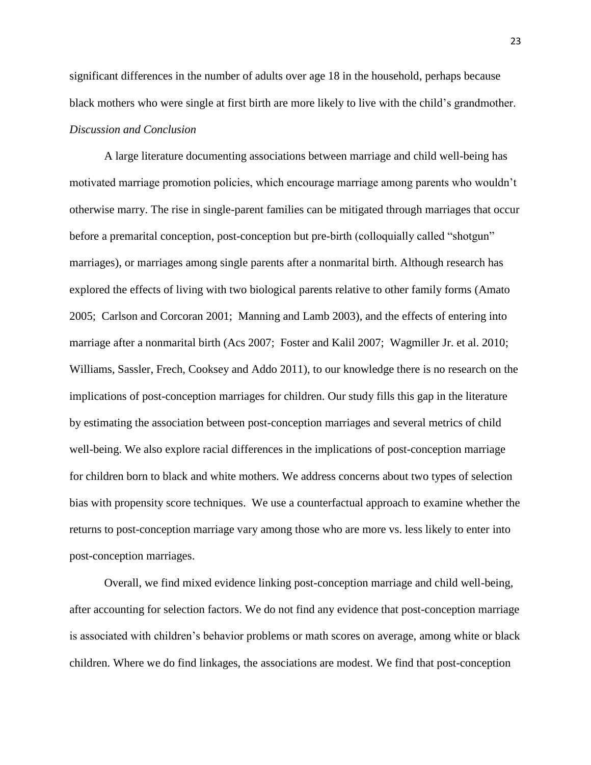significant differences in the number of adults over age 18 in the household, perhaps because black mothers who were single at first birth are more likely to live with the child's grandmother. *Discussion and Conclusion*

A large literature documenting associations between marriage and child well-being has motivated marriage promotion policies, which encourage marriage among parents who wouldn't otherwise marry. The rise in single-parent families can be mitigated through marriages that occur before a premarital conception, post-conception but pre-birth (colloquially called "shotgun" marriages), or marriages among single parents after a nonmarital birth. Although research has explored the effects of living with two biological parents relative to other family forms (Amato 2005; Carlson and Corcoran 2001; Manning and Lamb 2003), and the effects of entering into marriage after a nonmarital birth (Acs 2007; Foster and Kalil 2007; Wagmiller Jr. et al. 2010; Williams, Sassler, Frech, Cooksey and Addo 2011), to our knowledge there is no research on the implications of post-conception marriages for children. Our study fills this gap in the literature by estimating the association between post-conception marriages and several metrics of child well-being. We also explore racial differences in the implications of post-conception marriage for children born to black and white mothers. We address concerns about two types of selection bias with propensity score techniques. We use a counterfactual approach to examine whether the returns to post-conception marriage vary among those who are more vs. less likely to enter into post-conception marriages.

Overall, we find mixed evidence linking post-conception marriage and child well-being, after accounting for selection factors. We do not find any evidence that post-conception marriage is associated with children's behavior problems or math scores on average, among white or black children. Where we do find linkages, the associations are modest. We find that post-conception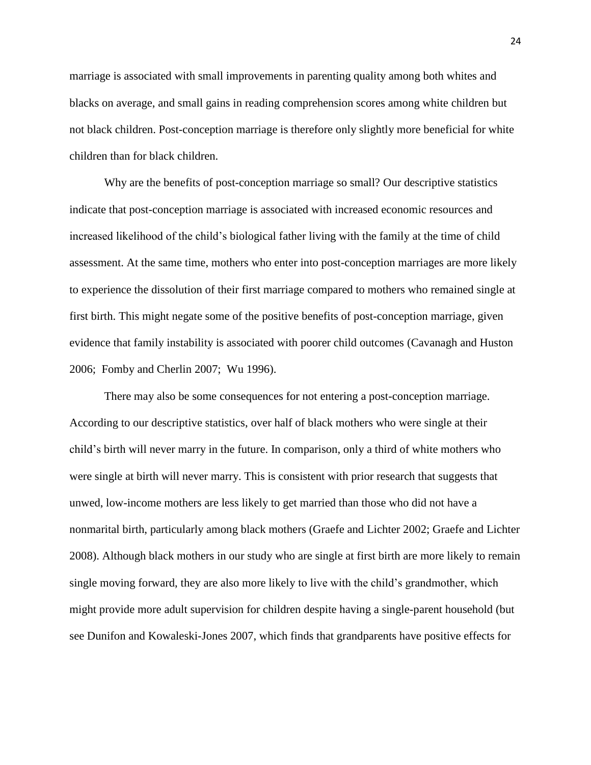marriage is associated with small improvements in parenting quality among both whites and blacks on average, and small gains in reading comprehension scores among white children but not black children. Post-conception marriage is therefore only slightly more beneficial for white children than for black children.

Why are the benefits of post-conception marriage so small? Our descriptive statistics indicate that post-conception marriage is associated with increased economic resources and increased likelihood of the child's biological father living with the family at the time of child assessment. At the same time, mothers who enter into post-conception marriages are more likely to experience the dissolution of their first marriage compared to mothers who remained single at first birth. This might negate some of the positive benefits of post-conception marriage, given evidence that family instability is associated with poorer child outcomes (Cavanagh and Huston 2006; Fomby and Cherlin 2007; Wu 1996).

There may also be some consequences for not entering a post-conception marriage. According to our descriptive statistics, over half of black mothers who were single at their child's birth will never marry in the future. In comparison, only a third of white mothers who were single at birth will never marry. This is consistent with prior research that suggests that unwed, low-income mothers are less likely to get married than those who did not have a nonmarital birth, particularly among black mothers (Graefe and Lichter 2002; Graefe and Lichter 2008). Although black mothers in our study who are single at first birth are more likely to remain single moving forward, they are also more likely to live with the child's grandmother, which might provide more adult supervision for children despite having a single-parent household (but see Dunifon and Kowaleski-Jones 2007, which finds that grandparents have positive effects for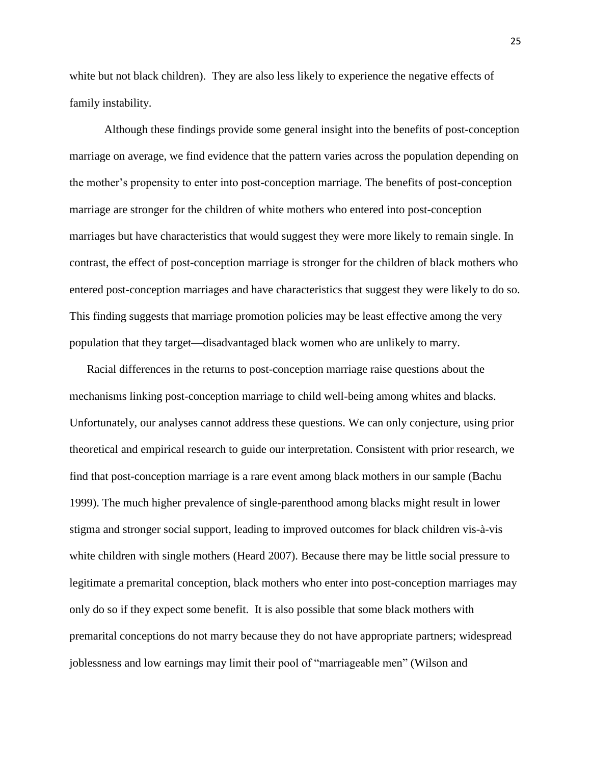white but not black children). They are also less likely to experience the negative effects of family instability.

Although these findings provide some general insight into the benefits of post-conception marriage on average, we find evidence that the pattern varies across the population depending on the mother's propensity to enter into post-conception marriage. The benefits of post-conception marriage are stronger for the children of white mothers who entered into post-conception marriages but have characteristics that would suggest they were more likely to remain single. In contrast, the effect of post-conception marriage is stronger for the children of black mothers who entered post-conception marriages and have characteristics that suggest they were likely to do so. This finding suggests that marriage promotion policies may be least effective among the very population that they target—disadvantaged black women who are unlikely to marry.

Racial differences in the returns to post-conception marriage raise questions about the mechanisms linking post-conception marriage to child well-being among whites and blacks. Unfortunately, our analyses cannot address these questions. We can only conjecture, using prior theoretical and empirical research to guide our interpretation. Consistent with prior research, we find that post-conception marriage is a rare event among black mothers in our sample (Bachu 1999). The much higher prevalence of single-parenthood among blacks might result in lower stigma and stronger social support, leading to improved outcomes for black children vis-à-vis white children with single mothers (Heard 2007). Because there may be little social pressure to legitimate a premarital conception, black mothers who enter into post-conception marriages may only do so if they expect some benefit. It is also possible that some black mothers with premarital conceptions do not marry because they do not have appropriate partners; widespread joblessness and low earnings may limit their pool of "marriageable men" (Wilson and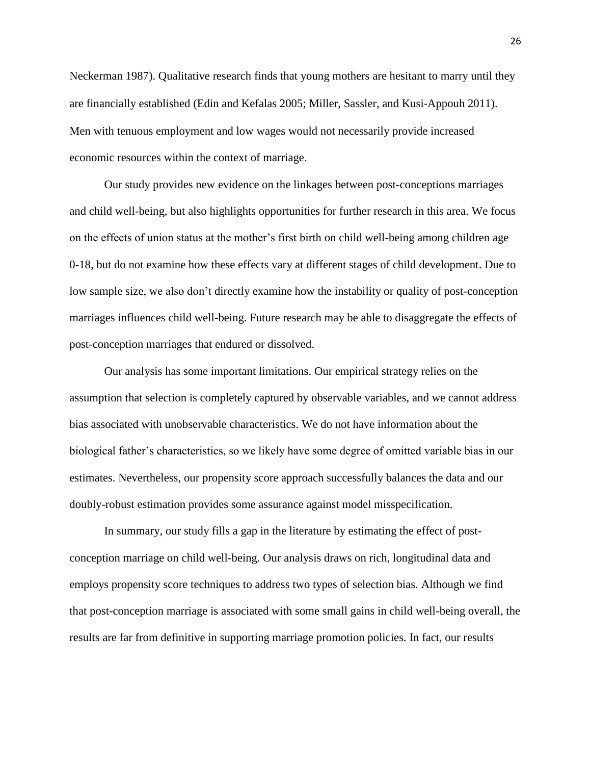Neckerman 1987). Qualitative research finds that young mothers are hesitant to marry until they are financially established (Edin and Kefalas 2005; Miller, Sassler, and Kusi‐Appouh 2011). Men with tenuous employment and low wages would not necessarily provide increased economic resources within the context of marriage.

Our study provides new evidence on the linkages between post-conceptions marriages and child well-being, but also highlights opportunities for further research in this area. We focus on the effects of union status at the mother's first birth on child well-being among children age 0-18, but do not examine how these effects vary at different stages of child development. Due to low sample size, we also don't directly examine how the instability or quality of post-conception marriages influences child well-being. Future research may be able to disaggregate the effects of post-conception marriages that endured or dissolved.

Our analysis has some important limitations. Our empirical strategy relies on the assumption that selection is completely captured by observable variables, and we cannot address bias associated with unobservable characteristics. We do not have information about the biological father's characteristics, so we likely have some degree of omitted variable bias in our estimates. Nevertheless, our propensity score approach successfully balances the data and our doubly-robust estimation provides some assurance against model misspecification.

In summary, our study fills a gap in the literature by estimating the effect of postconception marriage on child well-being. Our analysis draws on rich, longitudinal data and employs propensity score techniques to address two types of selection bias. Although we find that post-conception marriage is associated with some small gains in child well-being overall, the results are far from definitive in supporting marriage promotion policies. In fact, our results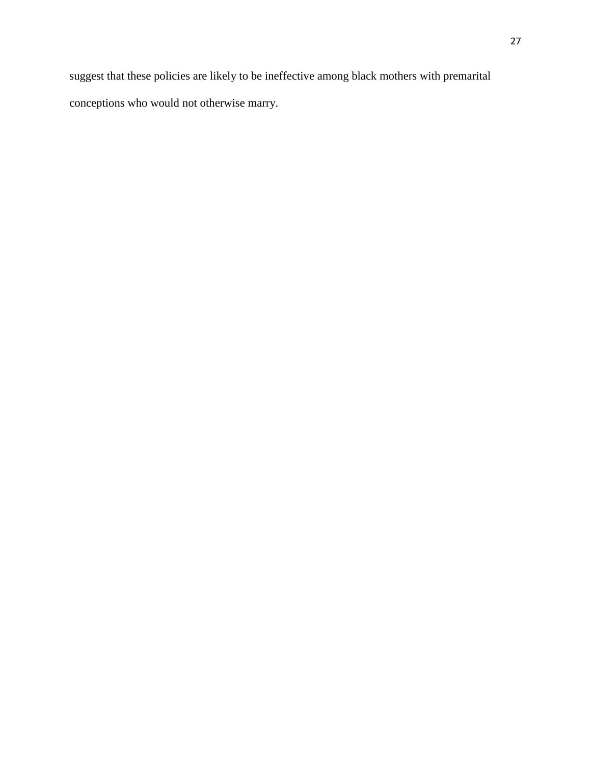suggest that these policies are likely to be ineffective among black mothers with premarital conceptions who would not otherwise marry.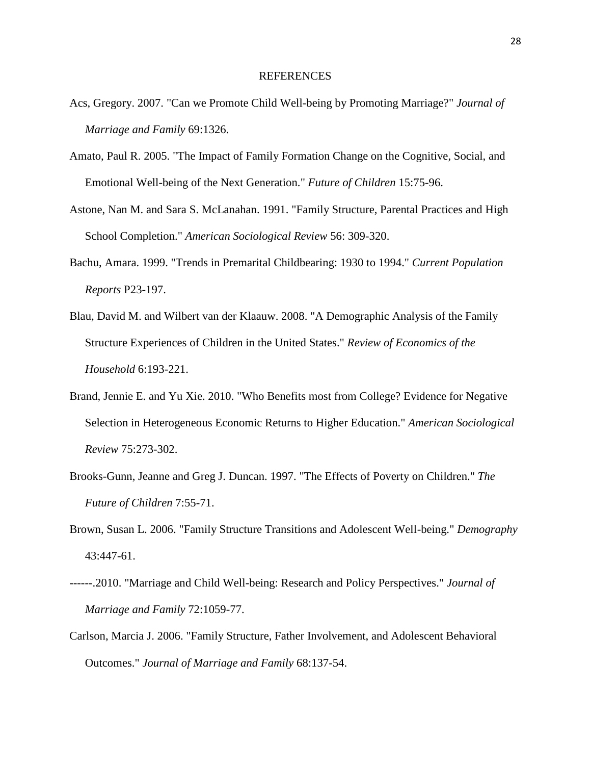#### REFERENCES

- Acs, Gregory. 2007. "Can we Promote Child Well-being by Promoting Marriage?" *Journal of Marriage and Family* 69:1326.
- Amato, Paul R. 2005. "The Impact of Family Formation Change on the Cognitive, Social, and Emotional Well-being of the Next Generation." *Future of Children* 15:75-96.
- Astone, Nan M. and Sara S. McLanahan. 1991. "Family Structure, Parental Practices and High School Completion." *American Sociological Review* 56: 309-320.
- Bachu, Amara. 1999. "Trends in Premarital Childbearing: 1930 to 1994." *Current Population Reports* P23-197.
- Blau, David M. and Wilbert van der Klaauw. 2008. "A Demographic Analysis of the Family Structure Experiences of Children in the United States." *Review of Economics of the Household* 6:193-221.
- Brand, Jennie E. and Yu Xie. 2010. "Who Benefits most from College? Evidence for Negative Selection in Heterogeneous Economic Returns to Higher Education." *American Sociological Review* 75:273-302.
- Brooks-Gunn, Jeanne and Greg J. Duncan. 1997. "The Effects of Poverty on Children." *The Future of Children* 7:55-71.
- Brown, Susan L. 2006. "Family Structure Transitions and Adolescent Well-being." *Demography* 43:447-61.
- ------.2010. "Marriage and Child Well-being: Research and Policy Perspectives." *Journal of Marriage and Family* 72:1059-77.
- Carlson, Marcia J. 2006. "Family Structure, Father Involvement, and Adolescent Behavioral Outcomes." *Journal of Marriage and Family* 68:137-54.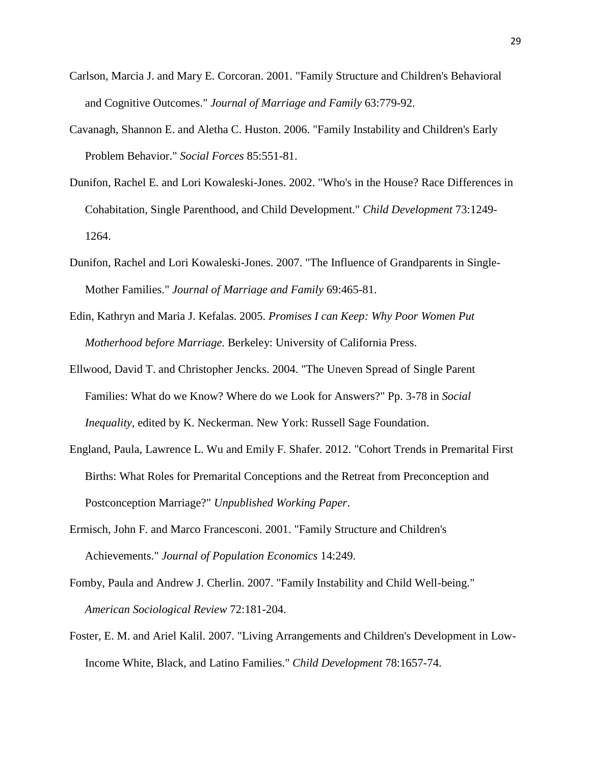- Carlson, Marcia J. and Mary E. Corcoran. 2001. "Family Structure and Children's Behavioral and Cognitive Outcomes." *Journal of Marriage and Family* 63:779-92.
- Cavanagh, Shannon E. and Aletha C. Huston. 2006. "Family Instability and Children's Early Problem Behavior." *Social Forces* 85:551-81.
- Dunifon, Rachel E. and Lori Kowaleski-Jones. 2002. "Who's in the House? Race Differences in Cohabitation, Single Parenthood, and Child Development." *Child Development* 73:1249- 1264.
- Dunifon, Rachel and Lori Kowaleski-Jones. 2007. "The Influence of Grandparents in Single-Mother Families." *Journal of Marriage and Family* 69:465-81.
- Edin, Kathryn and Maria J. Kefalas. 2005. *Promises I can Keep: Why Poor Women Put Motherhood before Marriage.* Berkeley: University of California Press.
- Ellwood, David T. and Christopher Jencks. 2004. "The Uneven Spread of Single Parent Families: What do we Know? Where do we Look for Answers?" Pp. 3-78 in *Social Inequality,* edited by K. Neckerman. New York: Russell Sage Foundation.
- England, Paula, Lawrence L. Wu and Emily F. Shafer. 2012. "Cohort Trends in Premarital First Births: What Roles for Premarital Conceptions and the Retreat from Preconception and Postconception Marriage?" *Unpublished Working Paper*.
- Ermisch, John F. and Marco Francesconi. 2001. "Family Structure and Children's Achievements." *Journal of Population Economics* 14:249.
- Fomby, Paula and Andrew J. Cherlin. 2007. "Family Instability and Child Well-being." *American Sociological Review* 72:181-204.
- Foster, E. M. and Ariel Kalil. 2007. "Living Arrangements and Children's Development in Low-Income White, Black, and Latino Families." *Child Development* 78:1657-74.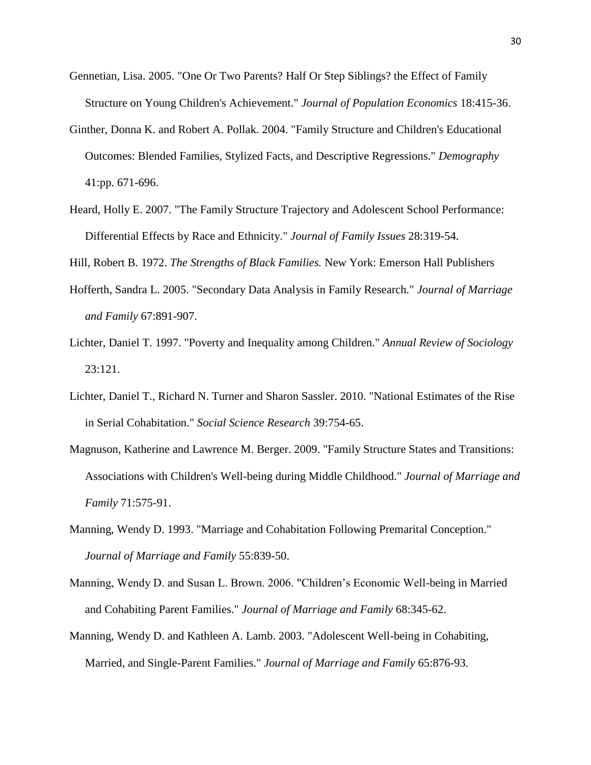- Gennetian, Lisa. 2005. "One Or Two Parents? Half Or Step Siblings? the Effect of Family Structure on Young Children's Achievement." *Journal of Population Economics* 18:415-36.
- Ginther, Donna K. and Robert A. Pollak. 2004. "Family Structure and Children's Educational Outcomes: Blended Families, Stylized Facts, and Descriptive Regressions." *Demography* 41:pp. 671-696.
- Heard, Holly E. 2007. "The Family Structure Trajectory and Adolescent School Performance: Differential Effects by Race and Ethnicity." *Journal of Family Issues* 28:319-54.

Hill, Robert B. 1972. *The Strengths of Black Families.* New York: Emerson Hall Publishers

- Hofferth, Sandra L. 2005. "Secondary Data Analysis in Family Research." *Journal of Marriage and Family* 67:891-907.
- Lichter, Daniel T. 1997. "Poverty and Inequality among Children." *Annual Review of Sociology* 23:121.
- Lichter, Daniel T., Richard N. Turner and Sharon Sassler. 2010. "National Estimates of the Rise in Serial Cohabitation." *Social Science Research* 39:754-65.
- Magnuson, Katherine and Lawrence M. Berger. 2009. "Family Structure States and Transitions: Associations with Children's Well-being during Middle Childhood." *Journal of Marriage and Family* 71:575-91.
- Manning, Wendy D. 1993. "Marriage and Cohabitation Following Premarital Conception." *Journal of Marriage and Family* 55:839-50.
- Manning, Wendy D. and Susan L. Brown. 2006. "Children's Economic Well-being in Married and Cohabiting Parent Families." *Journal of Marriage and Family* 68:345-62.
- Manning, Wendy D. and Kathleen A. Lamb. 2003. "Adolescent Well-being in Cohabiting, Married, and Single-Parent Families." *Journal of Marriage and Family* 65:876-93.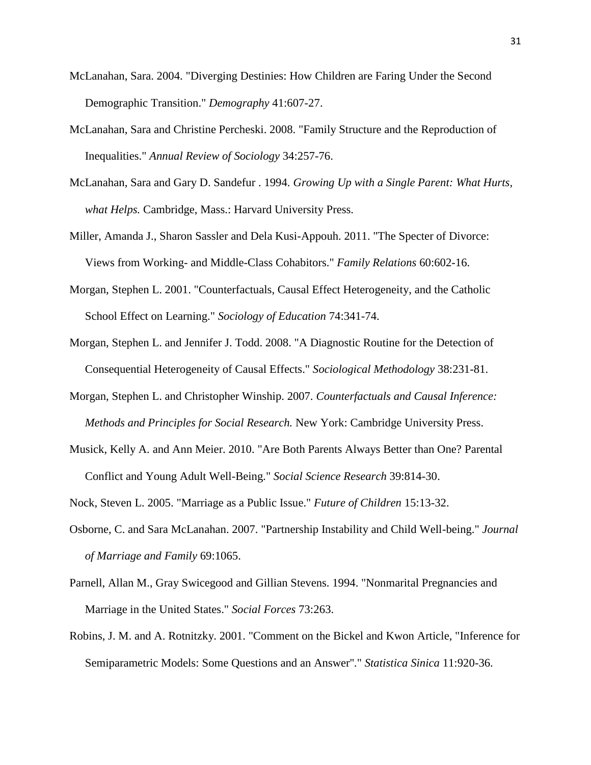- McLanahan, Sara. 2004. "Diverging Destinies: How Children are Faring Under the Second Demographic Transition." *Demography* 41:607-27.
- McLanahan, Sara and Christine Percheski. 2008. "Family Structure and the Reproduction of Inequalities." *Annual Review of Sociology* 34:257-76.
- McLanahan, Sara and Gary D. Sandefur . 1994. *Growing Up with a Single Parent: What Hurts, what Helps.* Cambridge, Mass.: Harvard University Press.
- Miller, Amanda J., Sharon Sassler and Dela Kusi-Appouh. 2011. "The Specter of Divorce: Views from Working- and Middle-Class Cohabitors." *Family Relations* 60:602-16.
- Morgan, Stephen L. 2001. "Counterfactuals, Causal Effect Heterogeneity, and the Catholic School Effect on Learning." *Sociology of Education* 74:341-74.
- Morgan, Stephen L. and Jennifer J. Todd. 2008. "A Diagnostic Routine for the Detection of Consequential Heterogeneity of Causal Effects." *Sociological Methodology* 38:231-81.
- Morgan, Stephen L. and Christopher Winship. 2007. *Counterfactuals and Causal Inference: Methods and Principles for Social Research.* New York: Cambridge University Press.
- Musick, Kelly A. and Ann Meier. 2010. "Are Both Parents Always Better than One? Parental Conflict and Young Adult Well-Being." *Social Science Research* 39:814-30.

Nock, Steven L. 2005. "Marriage as a Public Issue." *Future of Children* 15:13-32.

- Osborne, C. and Sara McLanahan. 2007. "Partnership Instability and Child Well-being." *Journal of Marriage and Family* 69:1065.
- Parnell, Allan M., Gray Swicegood and Gillian Stevens. 1994. "Nonmarital Pregnancies and Marriage in the United States." *Social Forces* 73:263.
- Robins, J. M. and A. Rotnitzky. 2001. "Comment on the Bickel and Kwon Article, "Inference for Semiparametric Models: Some Questions and an Answer''." *Statistica Sinica* 11:920-36.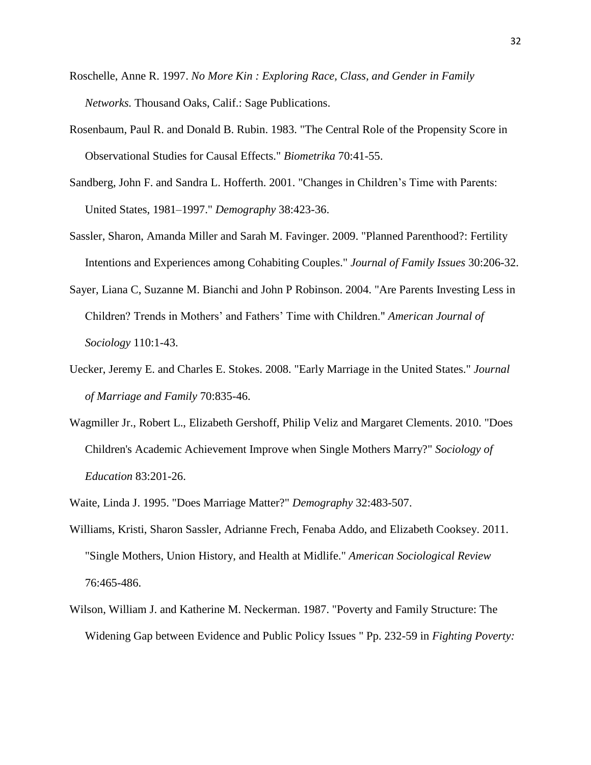- Roschelle, Anne R. 1997. *No More Kin : Exploring Race, Class, and Gender in Family Networks.* Thousand Oaks, Calif.: Sage Publications.
- Rosenbaum, Paul R. and Donald B. Rubin. 1983. "The Central Role of the Propensity Score in Observational Studies for Causal Effects." *Biometrika* 70:41-55.
- Sandberg, John F. and Sandra L. Hofferth. 2001. "Changes in Children's Time with Parents: United States, 1981–1997." *Demography* 38:423-36.
- Sassler, Sharon, Amanda Miller and Sarah M. Favinger. 2009. "Planned Parenthood?: Fertility Intentions and Experiences among Cohabiting Couples." *Journal of Family Issues* 30:206-32.
- Sayer, Liana C, Suzanne M. Bianchi and John P Robinson. 2004. "Are Parents Investing Less in Children? Trends in Mothers' and Fathers' Time with Children." *American Journal of Sociology* 110:1-43.
- Uecker, Jeremy E. and Charles E. Stokes. 2008. "Early Marriage in the United States." *Journal of Marriage and Family* 70:835-46.
- Wagmiller Jr., Robert L., Elizabeth Gershoff, Philip Veliz and Margaret Clements. 2010. "Does Children's Academic Achievement Improve when Single Mothers Marry?" *Sociology of Education* 83:201-26.
- Waite, Linda J. 1995. "Does Marriage Matter?" *Demography* 32:483-507.
- Williams, Kristi, Sharon Sassler, Adrianne Frech, Fenaba Addo, and Elizabeth Cooksey. 2011. "Single Mothers, Union History, and Health at Midlife." *American Sociological Review*  76:465-486.
- Wilson, William J. and Katherine M. Neckerman. 1987. "Poverty and Family Structure: The Widening Gap between Evidence and Public Policy Issues " Pp. 232-59 in *Fighting Poverty:*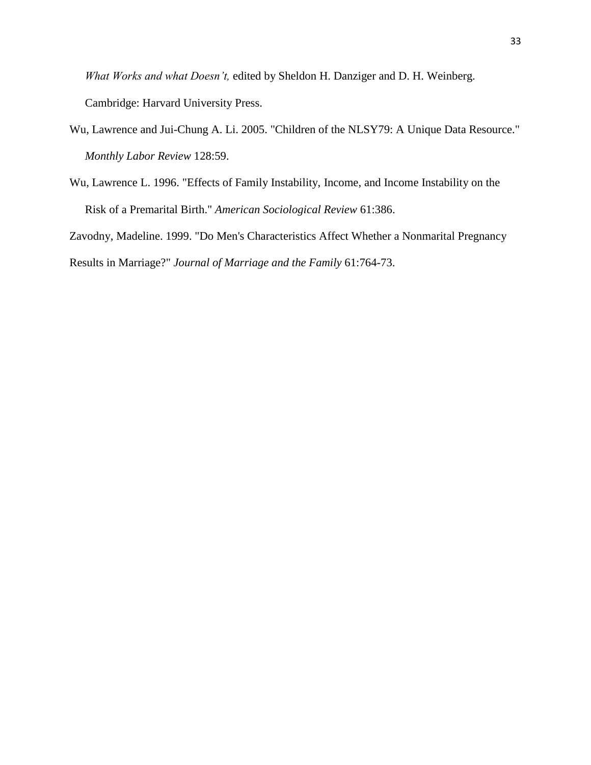*What Works and what Doesn't,* edited by Sheldon H. Danziger and D. H. Weinberg. Cambridge: Harvard University Press.

- Wu, Lawrence and Jui-Chung A. Li. 2005. "Children of the NLSY79: A Unique Data Resource." *Monthly Labor Review* 128:59.
- Wu, Lawrence L. 1996. "Effects of Family Instability, Income, and Income Instability on the Risk of a Premarital Birth." *American Sociological Review* 61:386.

Zavodny, Madeline. 1999. "Do Men's Characteristics Affect Whether a Nonmarital Pregnancy

Results in Marriage?" *Journal of Marriage and the Family* 61:764-73.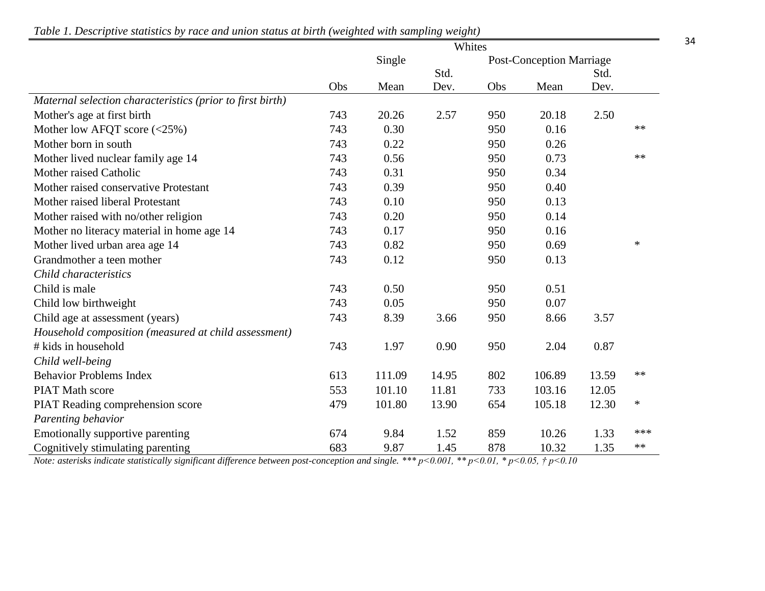|                                                           | Whites |        |       |                                 |        |       |        |
|-----------------------------------------------------------|--------|--------|-------|---------------------------------|--------|-------|--------|
|                                                           | Single |        |       | <b>Post-Conception Marriage</b> |        |       |        |
|                                                           |        |        | Std.  |                                 |        | Std.  |        |
|                                                           | Obs    | Mean   | Dev.  | Obs                             | Mean   | Dev.  |        |
| Maternal selection characteristics (prior to first birth) |        |        |       |                                 |        |       |        |
| Mother's age at first birth                               | 743    | 20.26  | 2.57  | 950                             | 20.18  | 2.50  |        |
| Mother low AFQT score $(\leq 25\%)$                       | 743    | 0.30   |       | 950                             | 0.16   |       | $**$   |
| Mother born in south                                      | 743    | 0.22   |       | 950                             | 0.26   |       |        |
| Mother lived nuclear family age 14                        | 743    | 0.56   |       | 950                             | 0.73   |       | $**$   |
| Mother raised Catholic                                    | 743    | 0.31   |       | 950                             | 0.34   |       |        |
| Mother raised conservative Protestant                     | 743    | 0.39   |       | 950                             | 0.40   |       |        |
| Mother raised liberal Protestant                          | 743    | 0.10   |       | 950                             | 0.13   |       |        |
| Mother raised with no/other religion                      | 743    | 0.20   |       | 950                             | 0.14   |       |        |
| Mother no literacy material in home age 14                | 743    | 0.17   |       | 950                             | 0.16   |       |        |
| Mother lived urban area age 14                            | 743    | 0.82   |       | 950                             | 0.69   |       | $\ast$ |
| Grandmother a teen mother                                 | 743    | 0.12   |       | 950                             | 0.13   |       |        |
| Child characteristics                                     |        |        |       |                                 |        |       |        |
| Child is male                                             | 743    | 0.50   |       | 950                             | 0.51   |       |        |
| Child low birthweight                                     | 743    | 0.05   |       | 950                             | 0.07   |       |        |
| Child age at assessment (years)                           | 743    | 8.39   | 3.66  | 950                             | 8.66   | 3.57  |        |
| Household composition (measured at child assessment)      |        |        |       |                                 |        |       |        |
| # kids in household                                       | 743    | 1.97   | 0.90  | 950                             | 2.04   | 0.87  |        |
| Child well-being                                          |        |        |       |                                 |        |       |        |
| <b>Behavior Problems Index</b>                            | 613    | 111.09 | 14.95 | 802                             | 106.89 | 13.59 | $**$   |
| <b>PIAT Math score</b>                                    | 553    | 101.10 | 11.81 | 733                             | 103.16 | 12.05 |        |
| PIAT Reading comprehension score                          | 479    | 101.80 | 13.90 | 654                             | 105.18 | 12.30 | $\ast$ |
| Parenting behavior                                        |        |        |       |                                 |        |       |        |
| Emotionally supportive parenting                          | 674    | 9.84   | 1.52  | 859                             | 10.26  | 1.33  | ***    |
| Cognitively stimulating parenting                         | 683    | 9.87   | 1.45  | 878                             | 10.32  | 1.35  | **     |

*Table 1. Descriptive statistics by race and union status at birth (weighted with sampling weight)*

*Note: asterisks indicate statistically significant difference between post-conception and single. \*\*\* p<0.001, \*\* p<0.01, \* p<0.05, † p<0.10*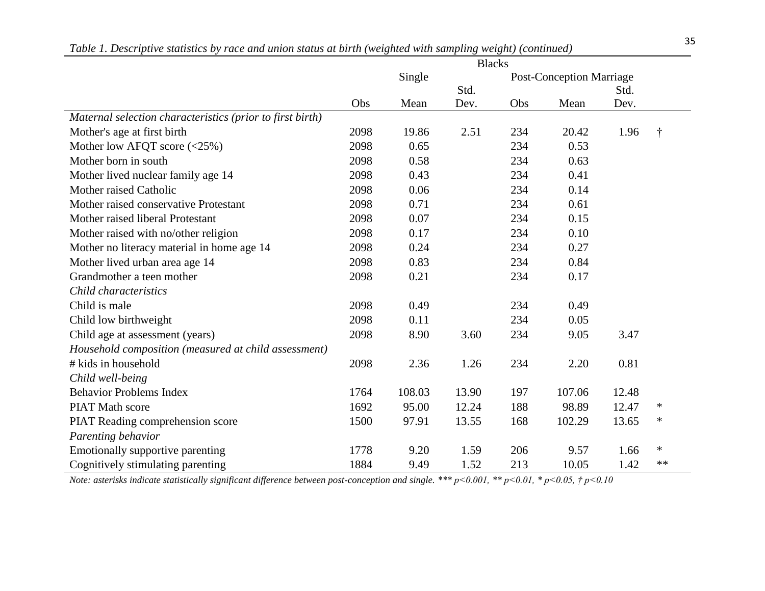|                                                           | <b>Blacks</b> |        |       |                                 |        |       |        |  |
|-----------------------------------------------------------|---------------|--------|-------|---------------------------------|--------|-------|--------|--|
|                                                           | Single        |        |       | <b>Post-Conception Marriage</b> |        |       |        |  |
|                                                           |               |        | Std.  |                                 |        | Std.  |        |  |
|                                                           | Obs           | Mean   | Dev.  | Obs                             | Mean   | Dev.  |        |  |
| Maternal selection characteristics (prior to first birth) |               |        |       |                                 |        |       |        |  |
| Mother's age at first birth                               | 2098          | 19.86  | 2.51  | 234                             | 20.42  | 1.96  |        |  |
| Mother low AFQT score $(\leq 25\%)$                       | 2098          | 0.65   |       | 234                             | 0.53   |       |        |  |
| Mother born in south                                      | 2098          | 0.58   |       | 234                             | 0.63   |       |        |  |
| Mother lived nuclear family age 14                        | 2098          | 0.43   |       | 234                             | 0.41   |       |        |  |
| Mother raised Catholic                                    | 2098          | 0.06   |       | 234                             | 0.14   |       |        |  |
| Mother raised conservative Protestant                     | 2098          | 0.71   |       | 234                             | 0.61   |       |        |  |
| Mother raised liberal Protestant                          | 2098          | 0.07   |       | 234                             | 0.15   |       |        |  |
| Mother raised with no/other religion                      | 2098          | 0.17   |       | 234                             | 0.10   |       |        |  |
| Mother no literacy material in home age 14                | 2098          | 0.24   |       | 234                             | 0.27   |       |        |  |
| Mother lived urban area age 14                            | 2098          | 0.83   |       | 234                             | 0.84   |       |        |  |
| Grandmother a teen mother                                 | 2098          | 0.21   |       | 234                             | 0.17   |       |        |  |
| Child characteristics                                     |               |        |       |                                 |        |       |        |  |
| Child is male                                             | 2098          | 0.49   |       | 234                             | 0.49   |       |        |  |
| Child low birthweight                                     | 2098          | 0.11   |       | 234                             | 0.05   |       |        |  |
| Child age at assessment (years)                           | 2098          | 8.90   | 3.60  | 234                             | 9.05   | 3.47  |        |  |
| Household composition (measured at child assessment)      |               |        |       |                                 |        |       |        |  |
| # kids in household                                       | 2098          | 2.36   | 1.26  | 234                             | 2.20   | 0.81  |        |  |
| Child well-being                                          |               |        |       |                                 |        |       |        |  |
| <b>Behavior Problems Index</b>                            | 1764          | 108.03 | 13.90 | 197                             | 107.06 | 12.48 |        |  |
| <b>PIAT Math score</b>                                    | 1692          | 95.00  | 12.24 | 188                             | 98.89  | 12.47 | *      |  |
| PIAT Reading comprehension score                          | 1500          | 97.91  | 13.55 | 168                             | 102.29 | 13.65 | *      |  |
| Parenting behavior                                        |               |        |       |                                 |        |       |        |  |
| Emotionally supportive parenting                          | 1778          | 9.20   | 1.59  | 206                             | 9.57   | 1.66  | $\ast$ |  |
| Cognitively stimulating parenting                         | 1884          | 9.49   | 1.52  | 213                             | 10.05  | 1.42  | **     |  |

<sup>35</sup> *Table 1. Descriptive statistics by race and union status at birth (weighted with sampling weight) (continued)*

*Note: asterisks indicate statistically significant difference between post-conception and single. \*\*\* p<0.001, \*\* p<0.01, \* p<0.05, † p<0.10*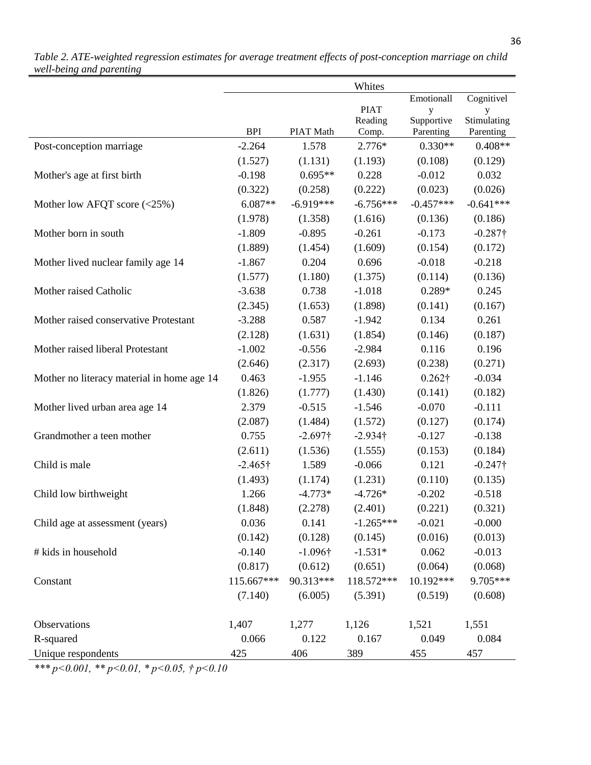|                                            |                 |                 | Whites           |                         |                          |
|--------------------------------------------|-----------------|-----------------|------------------|-------------------------|--------------------------|
|                                            |                 |                 |                  | Emotionall              | Cognitivel               |
|                                            |                 |                 | <b>PIAT</b>      | y                       |                          |
|                                            | <b>BPI</b>      | PIAT Math       | Reading<br>Comp. | Supportive<br>Parenting | Stimulating<br>Parenting |
| Post-conception marriage                   | $-2.264$        | 1.578           | 2.776*           | $0.330**$               | $0.408**$                |
|                                            | (1.527)         | (1.131)         | (1.193)          | (0.108)                 | (0.129)                  |
| Mother's age at first birth                | $-0.198$        | $0.695**$       | 0.228            | $-0.012$                | 0.032                    |
|                                            | (0.322)         | (0.258)         | (0.222)          | (0.023)                 | (0.026)                  |
| Mother low AFQT score $(\leq 25\%)$        | $6.087**$       | $-6.919***$     | $-6.756***$      | $-0.457***$             | $-0.641***$              |
|                                            | (1.978)         | (1.358)         | (1.616)          | (0.136)                 | (0.186)                  |
| Mother born in south                       | $-1.809$        | $-0.895$        | $-0.261$         | $-0.173$                | $-0.287\dagger$          |
|                                            | (1.889)         | (1.454)         | (1.609)          | (0.154)                 | (0.172)                  |
| Mother lived nuclear family age 14         | $-1.867$        | 0.204           | 0.696            | $-0.018$                | $-0.218$                 |
|                                            | (1.577)         | (1.180)         | (1.375)          | (0.114)                 | (0.136)                  |
| Mother raised Catholic                     | $-3.638$        | 0.738           | $-1.018$         | $0.289*$                | 0.245                    |
|                                            | (2.345)         | (1.653)         | (1.898)          | (0.141)                 | (0.167)                  |
| Mother raised conservative Protestant      | $-3.288$        | 0.587           | $-1.942$         | 0.134                   | 0.261                    |
|                                            |                 |                 | (1.854)          |                         | (0.187)                  |
| Mother raised liberal Protestant           | (2.128)         | (1.631)         |                  | (0.146)                 |                          |
|                                            | $-1.002$        | $-0.556$        | $-2.984$         | 0.116                   | 0.196                    |
|                                            | (2.646)         | (2.317)         | (2.693)          | (0.238)                 | (0.271)                  |
| Mother no literacy material in home age 14 | 0.463           | $-1.955$        | $-1.146$         | $0.262\dagger$          | $-0.034$                 |
|                                            | (1.826)         | (1.777)         | (1.430)          | (0.141)                 | (0.182)                  |
| Mother lived urban area age 14             | 2.379           | $-0.515$        | $-1.546$         | $-0.070$                | $-0.111$                 |
|                                            | (2.087)         | (1.484)         | (1.572)          | (0.127)                 | (0.174)                  |
| Grandmother a teen mother                  | 0.755           | $-2.697\dagger$ | $-2.934\dagger$  | $-0.127$                | $-0.138$                 |
|                                            | (2.611)         | (1.536)         | (1.555)          | (0.153)                 | (0.184)                  |
| Child is male                              | $-2.465\dagger$ | 1.589           | $-0.066$         | 0.121                   | $-0.247\dagger$          |
|                                            | (1.493)         | (1.174)         | (1.231)          | (0.110)                 | (0.135)                  |
| Child low birthweight                      | 1.266           | $-4.773*$       | $-4.726*$        | $-0.202$                | $-0.518$                 |
|                                            | (1.848)         | (2.278)         | (2.401)          | (0.221)                 | (0.321)                  |
| Child age at assessment (years)            | 0.036           | 0.141           | $-1.265***$      | $-0.021$                | $-0.000$                 |
|                                            | (0.142)         | (0.128)         | (0.145)          | (0.016)                 | (0.013)                  |
| # kids in household                        | $-0.140$        | $-1.096\dagger$ | $-1.531*$        | 0.062                   | $-0.013$                 |
|                                            | (0.817)         | (0.612)         | (0.651)          | (0.064)                 | (0.068)                  |
| Constant                                   | 115.667***      | 90.313***       | 118.572***       | 10.192***               | 9.705***                 |
|                                            | (7.140)         | (6.005)         | (5.391)          | (0.519)                 | (0.608)                  |
| Observations                               | 1,407           | 1,277           | 1,126            | 1,521                   | 1,551                    |
| R-squared                                  | 0.066           | 0.122           | 0.167            | 0.049                   | 0.084                    |
| Unique respondents                         | 425             | 406             | 389              | 455                     | 457                      |

*Table 2. ATE-weighted regression estimates for average treatment effects of post-conception marriage on child well-being and parenting*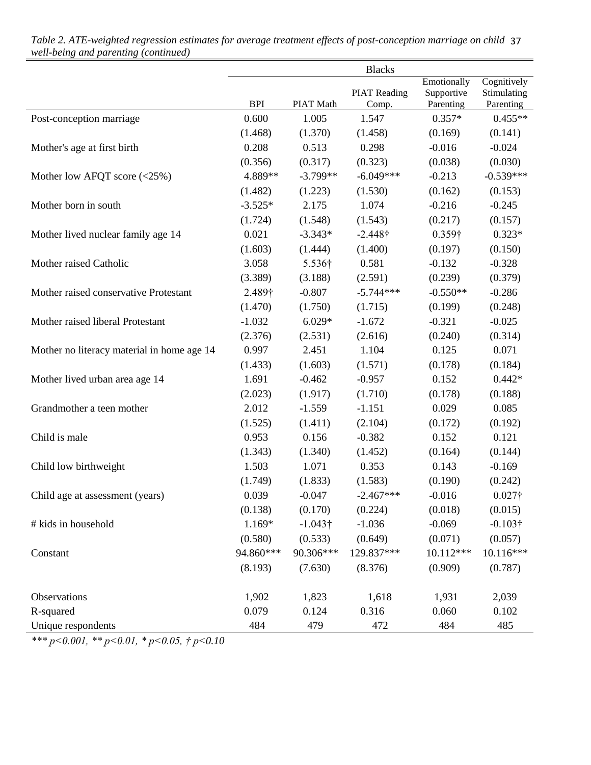|                                            |            |                 | <b>Blacks</b>       |                           |                            |
|--------------------------------------------|------------|-----------------|---------------------|---------------------------|----------------------------|
|                                            |            |                 | <b>PIAT Reading</b> | Emotionally<br>Supportive | Cognitively<br>Stimulating |
|                                            | <b>BPI</b> | PIAT Math       | Comp.               | Parenting                 | Parenting                  |
| Post-conception marriage                   | 0.600      | 1.005           | 1.547               | $0.357*$                  | $0.455**$                  |
|                                            | (1.468)    | (1.370)         | (1.458)             | (0.169)                   | (0.141)                    |
| Mother's age at first birth                | 0.208      | 0.513           | 0.298               | $-0.016$                  | $-0.024$                   |
|                                            | (0.356)    | (0.317)         | (0.323)             | (0.038)                   | (0.030)                    |
| Mother low AFQT score (<25%)               | 4.889**    | $-3.799**$      | $-6.049***$         | $-0.213$                  | $-0.539***$                |
|                                            | (1.482)    | (1.223)         | (1.530)             | (0.162)                   | (0.153)                    |
| Mother born in south                       | $-3.525*$  | 2.175           | 1.074               | $-0.216$                  | $-0.245$                   |
|                                            | (1.724)    | (1.548)         | (1.543)             | (0.217)                   | (0.157)                    |
| Mother lived nuclear family age 14         | 0.021      | $-3.343*$       | $-2.448\dagger$     | 0.359†                    | $0.323*$                   |
|                                            | (1.603)    | (1.444)         | (1.400)             | (0.197)                   | (0.150)                    |
| Mother raised Catholic                     | 3.058      | 5.536†          | 0.581               | $-0.132$                  | $-0.328$                   |
|                                            | (3.389)    | (3.188)         | (2.591)             | (0.239)                   | (0.379)                    |
| Mother raised conservative Protestant      | 2.489†     | $-0.807$        | $-5.744***$         | $-0.550**$                | $-0.286$                   |
|                                            | (1.470)    | (1.750)         | (1.715)             | (0.199)                   | (0.248)                    |
| Mother raised liberal Protestant           | $-1.032$   | $6.029*$        | $-1.672$            | $-0.321$                  | $-0.025$                   |
|                                            | (2.376)    | (2.531)         | (2.616)             | (0.240)                   | (0.314)                    |
| Mother no literacy material in home age 14 | 0.997      | 2.451           | 1.104               | 0.125                     | 0.071                      |
|                                            | (1.433)    | (1.603)         | (1.571)             | (0.178)                   | (0.184)                    |
| Mother lived urban area age 14             | 1.691      | $-0.462$        | $-0.957$            | 0.152                     | $0.442*$                   |
|                                            | (2.023)    | (1.917)         | (1.710)             | (0.178)                   | (0.188)                    |
| Grandmother a teen mother                  | 2.012      | $-1.559$        | $-1.151$            | 0.029                     | 0.085                      |
|                                            | (1.525)    | (1.411)         | (2.104)             | (0.172)                   | (0.192)                    |
| Child is male                              | 0.953      | 0.156           | $-0.382$            | 0.152                     | 0.121                      |
|                                            | (1.343)    | (1.340)         | (1.452)             | (0.164)                   | (0.144)                    |
| Child low birthweight                      | 1.503      | 1.071           | 0.353               | 0.143                     | $-0.169$                   |
|                                            | (1.749)    | (1.833)         | (1.583)             | (0.190)                   | (0.242)                    |
| Child age at assessment (years)            | 0.039      | $-0.047$        | $-2.467***$         | $-0.016$                  | $0.027\dagger$             |
|                                            | (0.138)    | (0.170)         | (0.224)             | (0.018)                   | (0.015)                    |
| # kids in household                        | 1.169*     | $-1.043\dagger$ | $-1.036$            | $-0.069$                  | $-0.103\dagger$            |
|                                            | (0.580)    | (0.533)         | (0.649)             | (0.071)                   | (0.057)                    |
| Constant                                   | 94.860***  | 90.306***       | 129.837***          | 10.112***                 | 10.116***                  |
|                                            | (8.193)    | (7.630)         | (8.376)             | (0.909)                   | (0.787)                    |
| Observations                               | 1,902      | 1,823           | 1,618               | 1,931                     | 2,039                      |
| R-squared                                  | 0.079      | 0.124           | 0.316               | 0.060                     | 0.102                      |
| Unique respondents                         | 484        | 479             | 472                 | 484                       | 485                        |

*Table 2. ATE-weighted regression estimates for average treatment effects of post-conception marriage on child* 37 *well-being and parenting (continued)*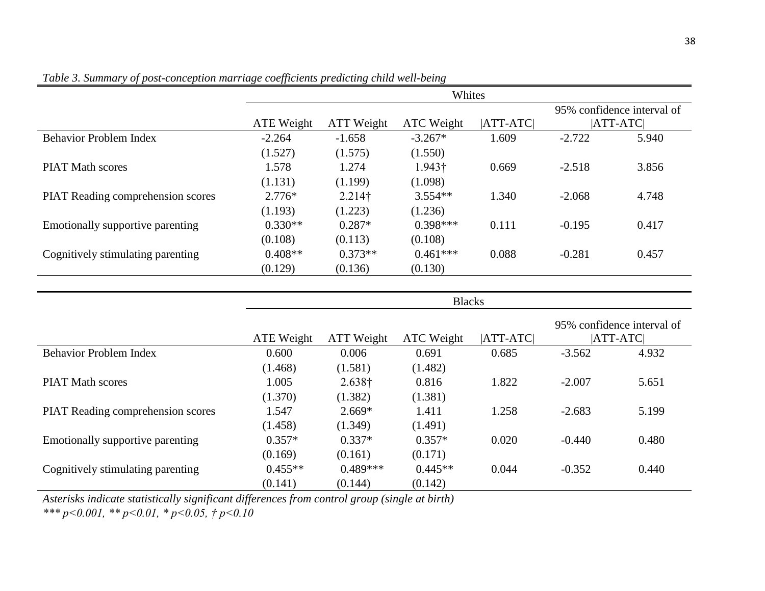|                                          | Whites            |                |               |             |          |                            |  |  |  |
|------------------------------------------|-------------------|----------------|---------------|-------------|----------|----------------------------|--|--|--|
|                                          |                   |                |               |             |          | 95% confidence interval of |  |  |  |
|                                          | ATE Weight        | ATT Weight     | ATC Weight    | $ ATT-ATC $ |          | $ ATT-ATC $                |  |  |  |
| <b>Behavior Problem Index</b>            | $-2.264$          | $-1.658$       | $-3.267*$     | 1.609       | $-2.722$ | 5.940                      |  |  |  |
|                                          | (1.527)           | (1.575)        | (1.550)       |             |          |                            |  |  |  |
| <b>PIAT Math scores</b>                  | 1.578             | 1.274          | 1.943†        | 0.669       | $-2.518$ | 3.856                      |  |  |  |
|                                          | (1.131)           | (1.199)        | (1.098)       |             |          |                            |  |  |  |
| <b>PIAT Reading comprehension scores</b> | 2.776*            | $2.214\dagger$ | $3.554**$     | 1.340       | $-2.068$ | 4.748                      |  |  |  |
|                                          | (1.193)           | (1.223)        | (1.236)       |             |          |                            |  |  |  |
| Emotionally supportive parenting         | $0.330**$         | $0.287*$       | $0.398***$    | 0.111       | $-0.195$ | 0.417                      |  |  |  |
|                                          | (0.108)           | (0.113)        | (0.108)       |             |          |                            |  |  |  |
| Cognitively stimulating parenting        | $0.408**$         | $0.373**$      | $0.461***$    | 0.088       | $-0.281$ | 0.457                      |  |  |  |
|                                          | (0.129)           | (0.136)        | (0.130)       |             |          |                            |  |  |  |
|                                          |                   |                |               |             |          |                            |  |  |  |
|                                          |                   |                | <b>Blacks</b> |             |          |                            |  |  |  |
|                                          |                   |                |               |             |          | 95% confidence interval of |  |  |  |
|                                          | <b>ATE Weight</b> | ATT Weight     | ATC Weight    | $ ATT-ATC $ |          | <b>ATT-ATC</b>             |  |  |  |
| <b>Behavior Problem Index</b>            | 0.600             | 0.006          | 0.691         | 0.685       | $-3.562$ | 4.932                      |  |  |  |
|                                          | (1.468)           | (1.581)        | (1.482)       |             |          |                            |  |  |  |
| <b>PIAT Math scores</b>                  | 1.005             | $2.638\dagger$ | 0.816         | 1.822       | $-2.007$ | 5.651                      |  |  |  |
|                                          | (1.370)           | (1.382)        | (1.381)       |             |          |                            |  |  |  |
| PIAT Reading comprehension scores        | 1.547             | $2.669*$       | 1.411         | 1.258       | $-2.683$ | 5.199                      |  |  |  |
|                                          | (1.458)           | (1.349)        | (1.491)       |             |          |                            |  |  |  |
| Emotionally supportive parenting         | $0.357*$          | $0.337*$       | $0.357*$      | 0.020       | $-0.440$ | 0.480                      |  |  |  |
|                                          | (0.169)           | (0.161)        | (0.171)       |             |          |                            |  |  |  |
|                                          |                   |                |               |             |          |                            |  |  |  |
| Cognitively stimulating parenting        | $0.455**$         | $0.489***$     | $0.445**$     | 0.044       | $-0.352$ | 0.440                      |  |  |  |

*Table 3. Summary of post-conception marriage coefficients predicting child well-being*

*Asterisks indicate statistically significant differences from control group (single at birth)*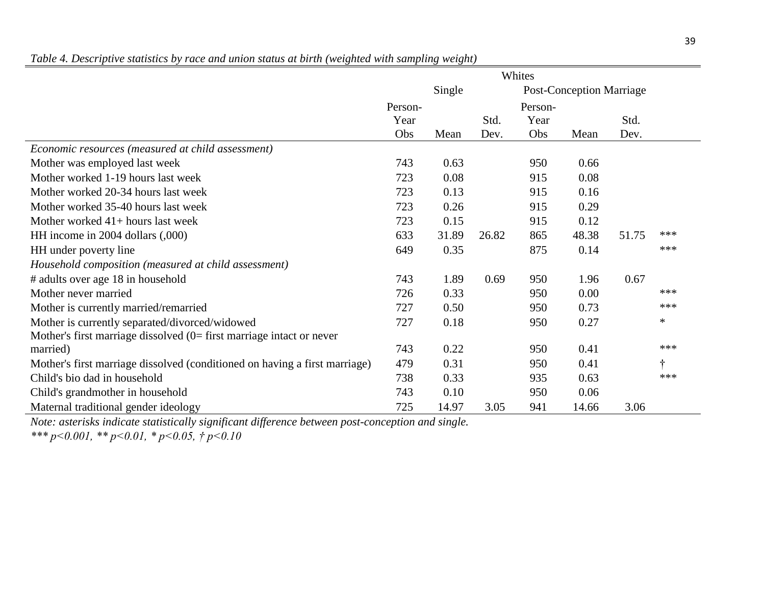|                                                                            | Whites  |        |       |                                 |       |       |        |
|----------------------------------------------------------------------------|---------|--------|-------|---------------------------------|-------|-------|--------|
|                                                                            |         | Single |       | <b>Post-Conception Marriage</b> |       |       |        |
|                                                                            | Person- |        |       | Person-                         |       |       |        |
|                                                                            | Year    |        | Std.  | Year                            |       | Std.  |        |
|                                                                            | Obs     | Mean   | Dev.  | Obs                             | Mean  | Dev.  |        |
| Economic resources (measured at child assessment)                          |         |        |       |                                 |       |       |        |
| Mother was employed last week                                              | 743     | 0.63   |       | 950                             | 0.66  |       |        |
| Mother worked 1-19 hours last week                                         | 723     | 0.08   |       | 915                             | 0.08  |       |        |
| Mother worked 20-34 hours last week                                        | 723     | 0.13   |       | 915                             | 0.16  |       |        |
| Mother worked 35-40 hours last week                                        | 723     | 0.26   |       | 915                             | 0.29  |       |        |
| Mother worked $41+$ hours last week                                        | 723     | 0.15   |       | 915                             | 0.12  |       |        |
| HH income in 2004 dollars (,000)                                           | 633     | 31.89  | 26.82 | 865                             | 48.38 | 51.75 | ***    |
| HH under poverty line                                                      | 649     | 0.35   |       | 875                             | 0.14  |       | ***    |
| Household composition (measured at child assessment)                       |         |        |       |                                 |       |       |        |
| # adults over age 18 in household                                          | 743     | 1.89   | 0.69  | 950                             | 1.96  | 0.67  |        |
| Mother never married                                                       | 726     | 0.33   |       | 950                             | 0.00  |       | ***    |
| Mother is currently married/remarried                                      | 727     | 0.50   |       | 950                             | 0.73  |       | ***    |
| Mother is currently separated/divorced/widowed                             | 727     | 0.18   |       | 950                             | 0.27  |       | $\ast$ |
| Mother's first marriage dissolved $(0=$ first marriage intact or never     |         |        |       |                                 |       |       |        |
| married)                                                                   | 743     | 0.22   |       | 950                             | 0.41  |       | ***    |
| Mother's first marriage dissolved (conditioned on having a first marriage) | 479     | 0.31   |       | 950                             | 0.41  |       | †      |
| Child's bio dad in household                                               | 738     | 0.33   |       | 935                             | 0.63  |       | ***    |
| Child's grandmother in household                                           | 743     | 0.10   |       | 950                             | 0.06  |       |        |
| Maternal traditional gender ideology                                       | 725     | 14.97  | 3.05  | 941                             | 14.66 | 3.06  |        |

*Table 4. Descriptive statistics by race and union status at birth (weighted with sampling weight)*

*Note: asterisks indicate statistically significant difference between post-conception and single.*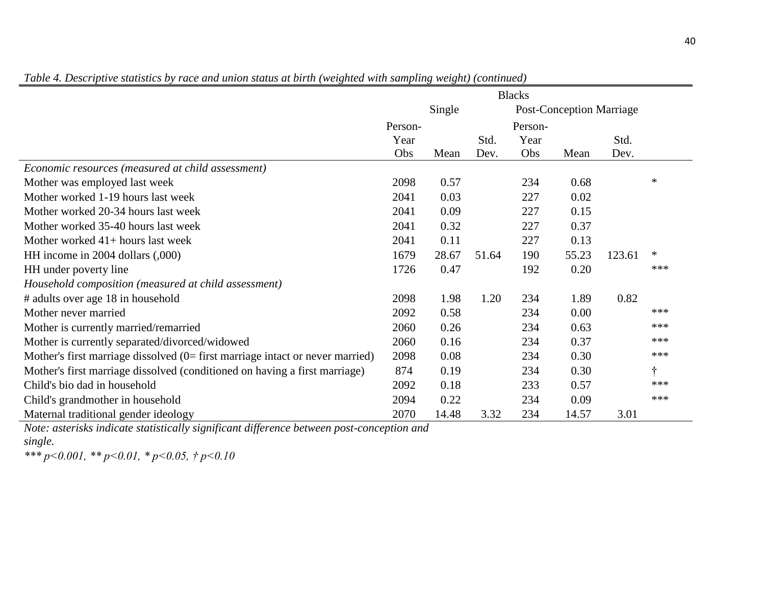|                                                                                 | <b>Blacks</b> |        |       |                                 |       |        |        |
|---------------------------------------------------------------------------------|---------------|--------|-------|---------------------------------|-------|--------|--------|
|                                                                                 |               | Single |       | <b>Post-Conception Marriage</b> |       |        |        |
|                                                                                 | Person-       |        |       | Person-                         |       |        |        |
|                                                                                 | Year          |        | Std.  | Year                            |       | Std.   |        |
|                                                                                 | Obs           | Mean   | Dev.  | Obs                             | Mean  | Dev.   |        |
| Economic resources (measured at child assessment)                               |               |        |       |                                 |       |        |        |
| Mother was employed last week                                                   | 2098          | 0.57   |       | 234                             | 0.68  |        | $\ast$ |
| Mother worked 1-19 hours last week                                              | 2041          | 0.03   |       | 227                             | 0.02  |        |        |
| Mother worked 20-34 hours last week                                             | 2041          | 0.09   |       | 227                             | 0.15  |        |        |
| Mother worked 35-40 hours last week                                             | 2041          | 0.32   |       | 227                             | 0.37  |        |        |
| Mother worked $41+$ hours last week                                             | 2041          | 0.11   |       | 227                             | 0.13  |        |        |
| HH income in 2004 dollars (,000)                                                | 1679          | 28.67  | 51.64 | 190                             | 55.23 | 123.61 | $\ast$ |
| HH under poverty line                                                           | 1726          | 0.47   |       | 192                             | 0.20  |        | ***    |
| Household composition (measured at child assessment)                            |               |        |       |                                 |       |        |        |
| # adults over age 18 in household                                               | 2098          | 1.98   | 1.20  | 234                             | 1.89  | 0.82   |        |
| Mother never married                                                            | 2092          | 0.58   |       | 234                             | 0.00  |        | ***    |
| Mother is currently married/remarried                                           | 2060          | 0.26   |       | 234                             | 0.63  |        | ***    |
| Mother is currently separated/divorced/widowed                                  | 2060          | 0.16   |       | 234                             | 0.37  |        | ***    |
| Mother's first marriage dissolved $(0=$ first marriage intact or never married) | 2098          | 0.08   |       | 234                             | 0.30  |        | ***    |
| Mother's first marriage dissolved (conditioned on having a first marriage)      | 874           | 0.19   |       | 234                             | 0.30  |        | t      |
| Child's bio dad in household                                                    | 2092          | 0.18   |       | 233                             | 0.57  |        | ***    |
| Child's grandmother in household                                                | 2094          | 0.22   |       | 234                             | 0.09  |        | ***    |
| Maternal traditional gender ideology                                            | 2070          | 14.48  | 3.32  | 234                             | 14.57 | 3.01   |        |

*Table 4. Descriptive statistics by race and union status at birth (weighted with sampling weight) (continued)*

*Note: asterisks indicate statistically significant difference between post-conception and single.*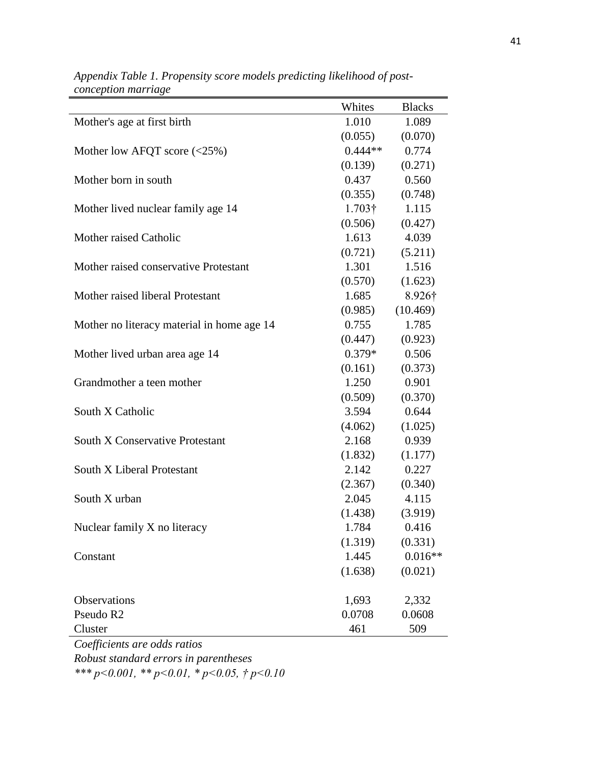|                                            | Whites         | <b>Blacks</b> |
|--------------------------------------------|----------------|---------------|
| Mother's age at first birth                | 1.010          | 1.089         |
|                                            | (0.055)        | (0.070)       |
| Mother low AFQT score $(\leq 25\%)$        | $0.444**$      | 0.774         |
|                                            | (0.139)        | (0.271)       |
| Mother born in south                       | 0.437          | 0.560         |
|                                            | (0.355)        | (0.748)       |
| Mother lived nuclear family age 14         | $1.703\dagger$ | 1.115         |
|                                            | (0.506)        | (0.427)       |
| Mother raised Catholic                     | 1.613          | 4.039         |
|                                            | (0.721)        | (5.211)       |
| Mother raised conservative Protestant      | 1.301          | 1.516         |
|                                            | (0.570)        | (1.623)       |
| Mother raised liberal Protestant           | 1.685          | 8.926†        |
|                                            | (0.985)        | (10.469)      |
| Mother no literacy material in home age 14 | 0.755          | 1.785         |
|                                            | (0.447)        | (0.923)       |
| Mother lived urban area age 14             | $0.379*$       | 0.506         |
|                                            | (0.161)        | (0.373)       |
| Grandmother a teen mother                  | 1.250          | 0.901         |
|                                            | (0.509)        | (0.370)       |
| South X Catholic                           | 3.594          | 0.644         |
|                                            | (4.062)        | (1.025)       |
| <b>South X Conservative Protestant</b>     | 2.168          | 0.939         |
|                                            | (1.832)        | (1.177)       |
| South X Liberal Protestant                 | 2.142          | 0.227         |
|                                            | (2.367)        | (0.340)       |
| South X urban                              | 2.045          | 4.115         |
|                                            | (1.438)        | (3.919)       |
| Nuclear family X no literacy               | 1.784          | 0.416         |
|                                            | (1.319)        | (0.331)       |
| Constant                                   | 1.445          | $0.016**$     |
|                                            | (1.638)        | (0.021)       |
|                                            |                |               |
| Observations                               | 1,693          | 2,332         |
| Pseudo R2                                  | 0.0708         | 0.0608        |
| Cluster                                    | 461            | 509           |

*Appendix Table 1. Propensity score models predicting likelihood of postconception marriage*

*Coefficients are odds ratios Robust standard errors in parentheses \*\*\* p<0.001, \*\* p<0.01, \* p<0.05, † p<0.10*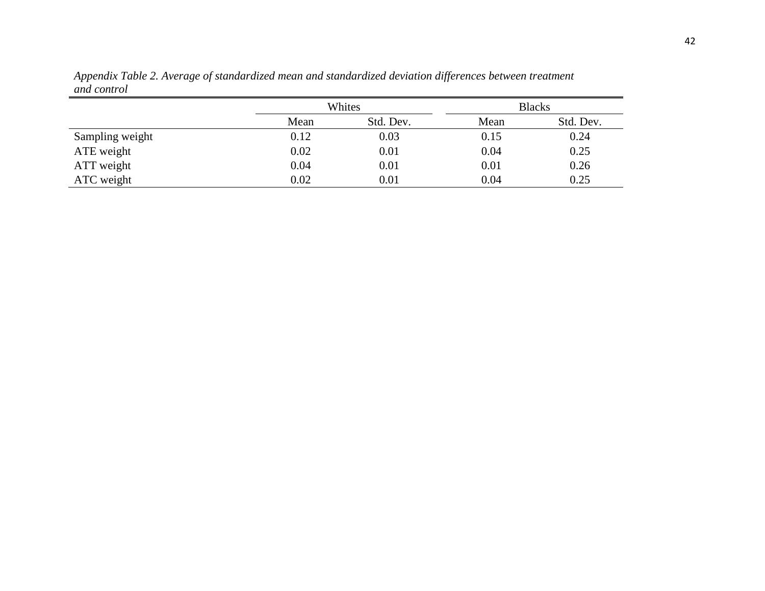|                 |      | Whites    |      | <b>Blacks</b> |
|-----------------|------|-----------|------|---------------|
|                 | Mean | Std. Dev. | Mean | Std. Dev.     |
| Sampling weight | 0.12 | 0.03      | 0.15 | 0.24          |
| ATE weight      | 0.02 | 0.01      | 0.04 | 0.25          |
| ATT weight      | 0.04 | 0.01      | 0.01 | 0.26          |
| ATC weight      | 0.02 | 0.01      | 0.04 | 0.25          |

*Appendix Table 2. Average of standardized mean and standardized deviation differences between treatment and control*